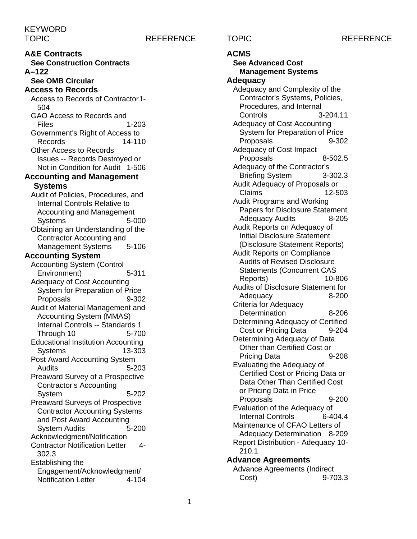### TOPIC REFERENCE TOPIC REFERENCE

**A&E Contracts See Construction Contracts A–122 See OMB Circular Access to Records** Access to Records of Contractor1- 504 GAO Access to Records and Files 1-203 Government's Right of Access to Records 14-110 Other Access to Records Issues -- Records Destroyed or Not in Condition for Audit 1-506 **Accounting and Management Systems** Audit of Policies, Procedures, and Internal Controls Relative to Accounting and Management Systems 5-000 Obtaining an Understanding of the Contractor Accounting and<br>Management Systems 5-106 Management Systems **Accounting System** Accounting System (Control<br>Fnvironment) 5-311 Environment) Adequacy of Cost Accounting System for Preparation of Price Proposals 9-302 Audit of Material Management and Accounting System (MMAS) Internal Controls -- Standards 1 Through 10 5-700 Educational Institution Accounting Systems 13-303 Post Award Accounting System Audits 5-203 Preaward Survey of a Prospective Contractor's Accounting System 5-202 Preaward Surveys of Prospective Contractor Accounting Systems and Post Award Accounting System Audits 5-200 Acknowledgment/Notification Contractor Notification Letter 4- 302.3 Establishing the Engagement/Acknowledgment/ Notification Letter 4-104

### **ACMS**

**See Advanced Cost Management Systems Adequacy** Adequacy and Complexity of the Contractor's Systems, Policies, Procedures, and Internal Controls 3-204.11 Adequacy of Cost Accounting System for Preparation of Price Proposals 9-302 Adequacy of Cost Impact Proposals 8-502.5 Adequacy of the Contractor's Briefing System 3-302.3 Audit Adequacy of Proposals or Claims 12-503 Audit Programs and Working Papers for Disclosure Statement Adequacy Audits 8-205 Audit Reports on Adequacy of Initial Disclosure Statement (Disclosure Statement Reports) Audit Reports on Compliance Audits of Revised Disclosure Statements (Concurrent CAS Reports) 10-806 Audits of Disclosure Statement for Adequacy 8-200 Criteria for Adequacy Determination 8-206 Determining Adequacy of Certified Cost or Pricing Data 9-204 Determining Adequacy of Data Other than Certified Cost or Pricing Data 9-208 Evaluating the Adequacy of Certified Cost or Pricing Data or Data Other Than Certified Cost or Pricing Data in Price Proposals 9-200 Evaluation of the Adequacy of Internal Controls 6-404.4 Maintenance of CFAO Letters of Adequacy Determination 8-209 Report Distribution - Adequacy 10- 210.1 **Advance Agreements**

Advance Agreements (Indirect Cost) 9-703.3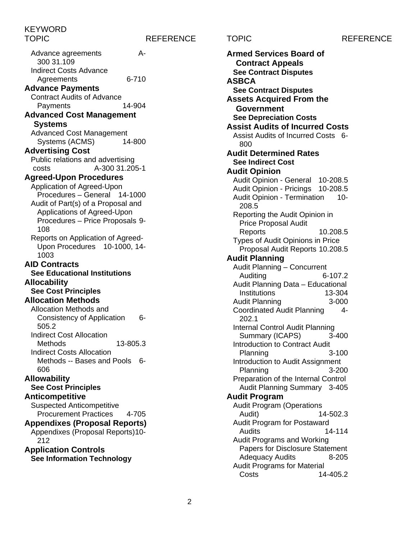TOPIC REFERENCE TOPIC REFERENCE

Advance agreements A-300 31.109 Indirect Costs Advance Agreements 6-710 **Advance Payments** Contract Audits of Advance<br>Payments 14-904 Payments **Advanced Cost Management Systems** Advanced Cost Management Systems (ACMS) 14-800 **Advertising Cost** Public relations and advertising costs A-300 31.205-1 **Agreed-Upon Procedures** Application of Agreed-Upon Procedures – General 14-1000 Audit of Part(s) of a Proposal and Applications of Agreed-Upon Procedures – Price Proposals 9- 108 Reports on Application of Agreed-Upon Procedures 10-1000, 14-1003 **AID Contracts See Educational Institutions Allocability See Cost Principles Allocation Methods** Allocation Methods and Consistency of Application 6- 505.2 Indirect Cost Allocation Methods 13-805.3 Indirect Costs Allocation Methods -- Bases and Pools 6- 606 **Allowability See Cost Principles Anticompetitive** Suspected Anticompetitive Procurement Practices 4-705 **Appendixes (Proposal Reports)** Appendixes (Proposal Reports)10- 212 **Application Controls See Information Technology**

**Armed Services Board of Contract Appeals See Contract Disputes ASBCA See Contract Disputes Assets Acquired From the Government See Depreciation Costs Assist Audits of Incurred Costs** Assist Audits of Incurred Costs 6- 800 **Audit Determined Rates See Indirect Cost Audit Opinion** Audit Opinion - General 10-208.5 Audit Opinion - Pricings 10-208.5 Audit Opinion - Termination 10-208.5 Reporting the Audit Opinion in Price Proposal Audit Reports 10.208.5 Types of Audit Opinions in Price Proposal Audit Reports 10.208.5 **Audit Planning** Audit Planning – Concurrent Auditing 6-107.2 Audit Planning Data – Educational Institutions 13-304 Audit Planning 3-000 Coordinated Audit Planning 4- 202.1 Internal Control Audit Planning Summary (ICAPS) 3-400 Introduction to Contract Audit Planning 3-100 Introduction to Audit Assignment Planning 3-200 Preparation of the Internal Control Audit Planning Summary 3-405 **Audit Program** Audit Program (Operations Audit) 14-502.3 Audit Program for Postaward Audits 14-114 Audit Programs and Working Papers for Disclosure Statement Adequacy Audits 8-205 Audit Programs for Material Costs 14-405.2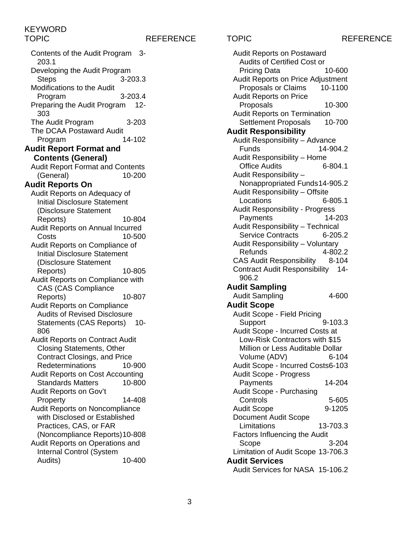Contents of the Audit Program 3- 203.1 Developing the Audit Program Steps 3-203.3 Modifications to the Audit Program 3-203.4 Preparing the Audit Program 12- 303 The Audit Program 3-203 The DCAA Postaward Audit Program 14-102 **Audit Report Format and Contents (General)** Audit Report Format and Contents (General) 10-200 **Audit Reports On** Audit Reports on Adequacy of Initial Disclosure Statement (Disclosure Statement Reports) 10-804 Audit Reports on Annual Incurred Costs 10-500 Audit Reports on Compliance of Initial Disclosure Statement (Disclosure Statement Reports) 10-805 Audit Reports on Compliance with CAS (CAS Compliance Reports) 10-807 Audit Reports on Compliance Audits of Revised Disclosure Statements (CAS Reports) 10-806 Audit Reports on Contract Audit Closing Statements, Other Contract Closings, and Price Redeterminations 10-900 Audit Reports on Cost Accounting Standards Matters 10-800 Audit Reports on Gov't Property 14-408 Audit Reports on Noncompliance with Disclosed or Established Practices, CAS, or FAR (Noncompliance Reports)10-808 Audit Reports on Operations and Internal Control (System Audits) 10-400

TOPIC REFERENCE TOPIC REFERENCE Audit Reports on Postaward Audits of Certified Cost or Pricing Data 10-600 Audit Reports on Price Adjustment Proposals or Claims 10-1100 Audit Reports on Price Proposals 10-300 Audit Reports on Termination Settlement Proposals 10-700 **Audit Responsibility** Audit Responsibility – Advance Funds 14-904.2 Audit Responsibility – Home **Office Audits** Audit Responsibility – Nonappropriated Funds14-905.2 Audit Responsibility – Offsite Locations 6-805.1 Audit Responsibility - Progress Payments 14-203 Audit Responsibility – Technical Service Contracts 6-205.2 Audit Responsibility – Voluntary Refunds 4-802.2 CAS Audit Responsibility 8-104 Contract Audit Responsibility 14- 906.2 **Audit Sampling** Audit Sampling 4-600 **Audit Scope** Audit Scope - Field Pricing Support 9-103.3 Audit Scope - Incurred Costs at Low-Risk Contractors with \$15 Million or Less Auditable Dollar Volume (ADV) 6-104 Audit Scope - Incurred Costs6-103 Audit Scope - Progress Payments 14-204 Audit Scope - Purchasing Controls 5-605 Audit Scope 9-1205 Document Audit Scope Limitations 13-703.3 Factors Influencing the Audit Scope 3-204 Limitation of Audit Scope 13-706.3 **Audit Services**

Audit Services for NASA 15-106.2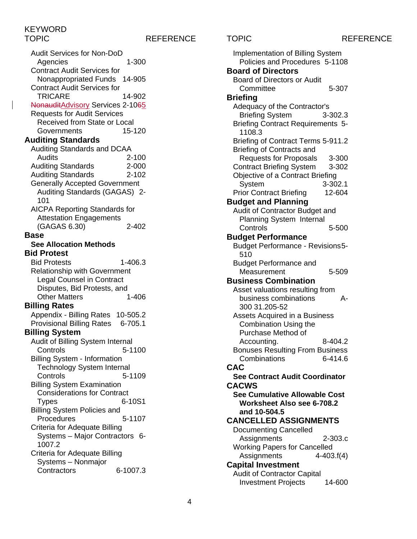### TOPIC REFERENCE TOPIC REFERENCE

Audit Services for Non-DoD Agencies 1-300 Contract Audit Services for Nonappropriated Funds 14-905 Contract Audit Services for TRICARE 14-902 NonauditAdvisory Services 2-1065 Requests for Audit Services Received from State or Local<br>Governments (15-120) **Governments Auditing Standards** Auditing Standards and DCAA Audits 2-100 **Auditing Standards** Auditing Standards 2-102 Generally Accepted Government Auditing Standards (GAGAS) 2- 101 AICPA Reporting Standards for Attestation Engagements (GAGAS 6.30) 2-402 **Base See Allocation Methods Bid Protest** Bid Protests 1-406.3 Relationship with Government Legal Counsel in Contract Disputes, Bid Protests, and<br>Other Matters 1-406 **Other Matters Billing Rates** Appendix - Billing Rates 10-505.2 Provisional Billing Rates 6-705.1 **Billing System** Audit of Billing System Internal Controls 5-1100 Billing System - Information Technology System Internal Controls 5-1109 Billing System Examination Considerations for Contract Types 6-10S1 Billing System Policies and Procedures 5-1107 Criteria for Adequate Billing Systems – Major Contractors 6- 1007.2 Criteria for Adequate Billing Systems – Nonmajor Contractors 6-1007.3

Implementation of Billing System Policies and Procedures 5-1108 **Board of Directors** Board of Directors or Audit Committee 5-307 **Briefing** Adequacy of the Contractor's Briefing System 3-302.3 Briefing Contract Requirements 5- 1108.3 Briefing of Contract Terms 5-911.2 Briefing of Contracts and Requests for Proposals 3-300 Contract Briefing System 3-302 Objective of a Contract Briefing System 3-302.1 Prior Contract Briefing 12-604 **Budget and Planning** Audit of Contractor Budget and Planning System Internal Controls 5-500 **Budget Performance** Budget Performance - Revisions5- 510 Budget Performance and Measurement 5-509 **Business Combination** Asset valuations resulting from business combinations A-300 31.205-52 Assets Acquired in a Business Combination Using the Purchase Method of Accounting. 8-404.2 Bonuses Resulting From Business Combinations 6-414.6 **CAC See Contract Audit Coordinator CACWS See Cumulative Allowable Cost Worksheet Also see 6-708.2 and 10-504.5 CANCELLED ASSIGNMENTS** Documenting Cancelled Assignments 2-303.c Working Papers for Cancelled Assignments 4-403.f(4) **Capital Investment** Audit of Contractor Capital Investment Projects 14-600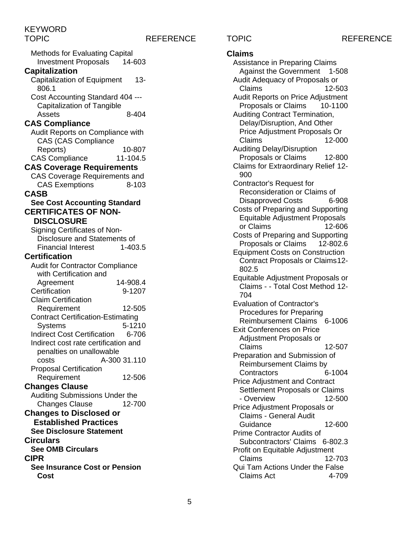TOPIC REFERENCE TOPIC REFERENCE

| <b>Methods for Evaluating Capital</b>                              |              |
|--------------------------------------------------------------------|--------------|
| <b>Investment Proposals</b>                                        | 14-603       |
| <b>Capitalization</b>                                              |              |
| <b>Capitalization of Equipment</b>                                 | $13 -$       |
| 806.1                                                              |              |
| Cost Accounting Standard 404 ---                                   |              |
| <b>Capitalization of Tangible</b>                                  |              |
| Assets                                                             | 8-404        |
| <b>CAS Compliance</b>                                              |              |
| Audit Reports on Compliance with                                   |              |
| <b>CAS (CAS Compliance</b>                                         |              |
| Reports)                                                           | 10-807       |
| <b>CAS Compliance</b>                                              | 11-104.5     |
| <b>CAS Coverage Requirements</b>                                   |              |
| <b>CAS Coverage Requirements and</b>                               |              |
| <b>CAS Exemptions</b>                                              | 8-103        |
| <b>CASB</b>                                                        |              |
| <b>See Cost Accounting Standard</b><br><b>CERTIFICATES OF NON-</b> |              |
| <b>DISCLOSURE</b>                                                  |              |
|                                                                    |              |
| Signing Certificates of Non-<br>Disclosure and Statements of       |              |
| <b>Financial Interest</b>                                          | 1-403.5      |
| <b>Certification</b>                                               |              |
| <b>Audit for Contractor Compliance</b>                             |              |
| with Certification and                                             |              |
| Agreement                                                          | 14-908.4     |
| Certification                                                      | 9-1207       |
| <b>Claim Certification</b>                                         |              |
| Requirement                                                        | 12-505       |
| <b>Contract Certification-Estimating</b>                           |              |
| <b>Systems</b>                                                     | 5-1210       |
| <b>Indirect Cost Certification</b>                                 | 6-706        |
| Indirect cost rate certification and                               |              |
| penalties on unallowable                                           |              |
| costs                                                              | A-300 31.110 |
| <b>Proposal Certification</b>                                      |              |
| Requirement                                                        | 12-506       |
| <b>Changes Clause</b>                                              |              |
| Auditing Submissions Under the                                     |              |
| <b>Changes Clause</b>                                              | 12-700       |
| <b>Changes to Disclosed or</b>                                     |              |
| <b>Established Practices</b>                                       |              |
| <b>See Disclosure Statement</b>                                    |              |
| <b>Circulars</b>                                                   |              |
| <b>See OMB Circulars</b>                                           |              |
| <b>CIPR</b>                                                        |              |
| <b>See Insurance Cost or Pension</b>                               |              |
| Cost                                                               |              |

## **Claims**

Assistance in Preparing Claims Against the Government 1-508 Audit Adequacy of Proposals or Claims 12-503 Audit Reports on Price Adjustment Proposals or Claims 10-1100 Auditing Contract Termination, Delay/Disruption, And Other Price Adjustment Proposals Or Claims 12-000 Auditing Delay/Disruption Proposals or Claims 12-800 Claims for Extraordinary Relief 12- 900 Contractor's Request for Reconsideration or Claims of Disapproved Costs 6-908 Costs of Preparing and Supporting Equitable Adjustment Proposals or Claims 12-606 Costs of Preparing and Supporting Proposals or Claims 12-802.6 Equipment Costs on Construction Contract Proposals or Claims12- 802.5 Equitable Adjustment Proposals or Claims - - Total Cost Method 12- 704 Evaluation of Contractor's Procedures for Preparing Reimbursement Claims 6-1006 Exit Conferences on Price Adjustment Proposals or Claims 12-507 Preparation and Submission of Reimbursement Claims by Contractors 6-1004 Price Adjustment and Contract Settlement Proposals or Claims - Overview 12-500 Price Adjustment Proposals or Claims - General Audit Guidance 12-600 Prime Contractor Audits of Subcontractors' Claims 6-802.3 Profit on Equitable Adjustment Claims 12-703 Qui Tam Actions Under the False Claims Act 4-709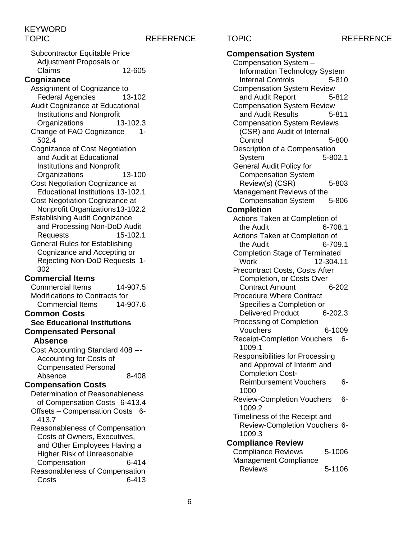### TOPIC REFERENCE TOPIC REFERENCE

Subcontractor Equitable Price Adjustment Proposals or<br>Claims 12-605 **Cognizance** Assignment of Cognizance to Federal Agencies 13-102 Audit Cognizance at Educational Institutions and Nonprofit Organizations 13-102.3 Change of FAO Cognizance 1- 502.4 Cognizance of Cost Negotiation and Audit at Educational Institutions and Nonprofit Organizations 13-100 Cost Negotiation Cognizance at Educational Institutions 13-102.1 Cost Negotiation Cognizance at Nonprofit Organizations13-102.2 Establishing Audit Cognizance and Processing Non-DoD Audit Requests 15-102.1 General Rules for Establishing Cognizance and Accepting or Rejecting Non-DoD Requests 1- 302 **Commercial Items** Commercial Items 14-907.5 Modifications to Contracts for Commercial Items 14-907.6 **Common Costs See Educational Institutions Compensated Personal Absence** Cost Accounting Standard 408 --- Accounting for Costs of Compensated Personal Absence 8-408 **Compensation Costs** Determination of Reasonableness of Compensation Costs 6-413.4 Offsets – Compensation Costs 6- 413.7 Reasonableness of Compensation Costs of Owners, Executives, and Other Employees Having a Higher Risk of Unreasonable Compensation 6-414 Reasonableness of Compensation Costs 6-413

### **Compensation System** Compensation System – Information Technology System Internal Controls 5-810 Compensation System Review and Audit Report 5-812 Compensation System Review and Audit Results 5-811 Compensation System Reviews (CSR) and Audit of Internal Control 5-800 Description of a Compensation System 5-802.1 General Audit Policy for Compensation System Review(s) (CSR) 5-803 Management Reviews of the Compensation System 5-806 **Completion** Actions Taken at Completion of the Audit 6-708.1 Actions Taken at Completion of the Audit 6-709.1 Completion Stage of Terminated Work 12-304.11 Precontract Costs, Costs After Completion, or Costs Over Contract Amount 6-202 Procedure Where Contract Specifies a Completion or Delivered Product 6-202.3 Processing of Completion Vouchers 6-1009 Receipt-Completion Vouchers 6- 1009.1 Responsibilities for Processing and Approval of Interim and Completion Cost-Reimbursement Vouchers 6- 1000 Review-Completion Vouchers 6-1009.2 Timeliness of the Receipt and Review-Completion Vouchers 6- 1009.3 **Compliance Review** Compliance Reviews 5-1006 Management Compliance Reviews 5-1106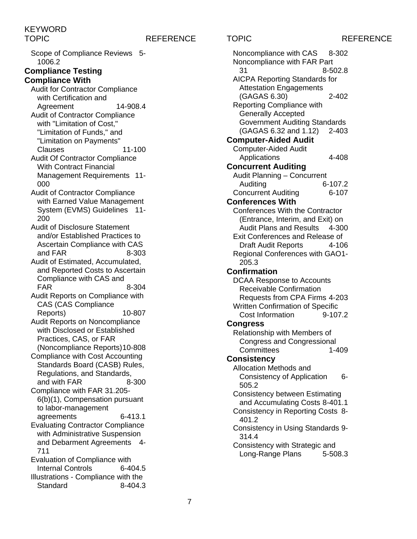### TOPIC REFERENCE TOPIC REFERENCE

Scope of Compliance Reviews 5- 1006.2

### **Compliance Testing Compliance With**

Audit for Contractor Compliance with Certification and Agreement 14-908.4 Audit of Contractor Compliance with "Limitation of Cost," "Limitation of Funds," and "Limitation on Payments"

Clauses 11-100 Audit Of Contractor Compliance

- With Contract Financial Management Requirements 11- 000
- Audit of Contractor Compliance with Earned Value Management System (EVMS) Guidelines 11- 200
- Audit of Disclosure Statement and/or Established Practices to Ascertain Compliance with CAS and FAR 8-303
- Audit of Estimated, Accumulated, and Reported Costs to Ascertain Compliance with CAS and FAR 8-304
- Audit Reports on Compliance with CAS (CAS Compliance
- Reports) 10-807 Audit Reports on Noncompliance with Disclosed or Established Practices, CAS, or FAR
- (Noncompliance Reports)10-808 Compliance with Cost Accounting Standards Board (CASB) Rules,
- Regulations, and Standards, and with FAR 8-300 Compliance with FAR 31.205-
- 6(b)(1), Compensation pursuant to labor-management
- agreements 6-413.1 Evaluating Contractor Compliance
- with Administrative Suspension and Debarment Agreements 4- 711
- Evaluation of Compliance with Internal Controls 6-404.5 Illustrations - Compliance with the Standard 8-404.3

Noncompliance with CAS 8-302 Noncompliance with FAR Part 31 8-502.8 AICPA Reporting Standards for Attestation Engagements (GAGAS 6.30) 2-402 Reporting Compliance with Generally Accepted Government Auditing Standards (GAGAS 6.32 and 1.12) 2-403 **Computer-Aided Audit** Computer-Aided Audit Applications 4-408 **Concurrent Auditing** Audit Planning – Concurrent Auditing 6-107.2 Concurrent Auditing 6-107 **Conferences With** Conferences With the Contractor (Entrance, Interim, and Exit) on Audit Plans and Results 4-300 Exit Conferences and Release of Draft Audit Reports 4-106 Regional Conferences with GAO1- 205.3 **Confirmation** DCAA Response to Accounts Receivable Confirmation Requests from CPA Firms 4-203 Written Confirmation of Specific Cost Information 9-107.2 **Congress** Relationship with Members of Congress and Congressional Committees 1-409 **Consistency** Allocation Methods and Consistency of Application 6- 505.2 Consistency between Estimating and Accumulating Costs 8-401.1 Consistency in Reporting Costs 8- 401.2 Consistency in Using Standards 9- 314.4 Consistency with Strategic and Long-Range Plans 5-508.3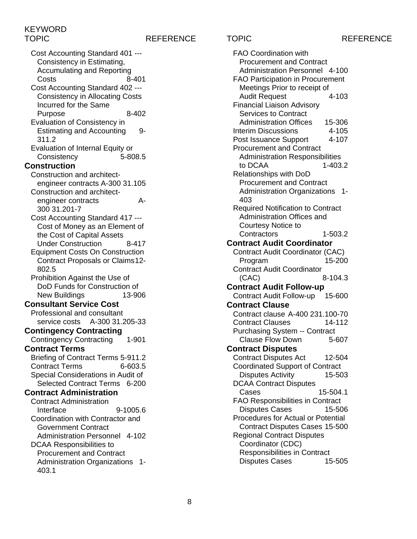### TOPIC REFERENCE TOPIC REFERENCE

Cost Accounting Standard 401 --- Consistency in Estimating, Accumulating and Reporting Costs 8-401 Cost Accounting Standard 402 --- Consistency in Allocating Costs Incurred for the Same Purpose 8-402 Evaluation of Consistency in Estimating and Accounting 9- 311.2 Evaluation of Internal Equity or Consistency 5-808.5 **Construction** Construction and architectengineer contracts A-300 31.105 Construction and architectengineer contracts A-300 31.201-7 Cost Accounting Standard 417 --- Cost of Money as an Element of the Cost of Capital Assets Under Construction 8-417 Equipment Costs On Construction Contract Proposals or Claims12- 802.5 Prohibition Against the Use of DoD Funds for Construction of New Buildings 13-906 **Consultant Service Cost** Professional and consultant service costs A-300 31.205-33 **Contingency Contracting** Contingency Contracting 1-901 **Contract Terms** Briefing of Contract Terms 5-911.2 Contract Terms 6-603.5 Special Considerations in Audit of Selected Contract Terms 6-200 **Contract Administration** Contract Administration Interface 9-1005.6 Coordination with Contractor and Government Contract Administration Personnel 4-102 DCAA Responsibilities to Procurement and Contract Administration Organizations 1- 403.1

FAO Coordination with Procurement and Contract Administration Personnel 4-100 FAO Participation in Procurement Meetings Prior to receipt of Audit Request 4-103 Financial Liaison Advisory Services to Contract Administration Offices 15-306<br>terim Discussions 4-105 Interim Discussions Post Issuance Support 4-107 Procurement and Contract Administration Responsibilities to DCAA 1-403.2 Relationships with DoD Procurement and Contract Administration Organizations 1- 403 Required Notification to Contract Administration Offices and Courtesy Notice to Contractors 1-503.2 **Contract Audit Coordinator** Contract Audit Coordinator (CAC) Program 15-200 Contract Audit Coordinator (CAC) 8-104.3 **Contract Audit Follow-up** Contract Audit Follow-up 15-600 **Contract Clause** Contract clause A-400 231.100-70 Contract Clauses 14-112 Purchasing System -- Contract Clause Flow Down 5-607 **Contract Disputes** Contract Disputes Act 12-504 Coordinated Support of Contract Disputes Activity 15-503 DCAA Contract Disputes Cases 15-504.1 FAO Responsibilities in Contract Disputes Cases 15-506 Procedures for Actual or Potential Contract Disputes Cases 15-500 Regional Contract Disputes Coordinator (CDC) Responsibilities in Contract<br>Disputes Cases<br>15-505 Disputes Cases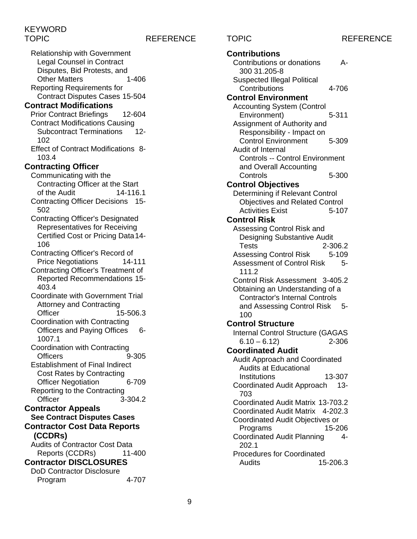TOPIC REFERENCE TOPIC REFERENCE

Relationship with Government Legal Counsel in Contract Disputes, Bid Protests, and Other Matters 1-406 Reporting Requirements for Contract Disputes Cases 15-504 **Contract Modifications** Prior Contract Briefings 12-604 Contract Modifications Causing Subcontract Terminations 12- 102 Effect of Contract Modifications 8- 103.4 **Contracting Officer** Communicating with the Contracting Officer at the Start of the Audit 14-116.1 Contracting Officer Decisions 15- 502 Contracting Officer's Designated Representatives for Receiving Certified Cost or Pricing Data14- 106 Contracting Officer's Record of Price Negotiations 14-111 Contracting Officer's Treatment of Reported Recommendations 15- 403.4 Coordinate with Government Trial Attorney and Contracting Officer 15-506.3 Coordination with Contracting Officers and Paying Offices 6-1007.1 Coordination with Contracting Officers 9-305 Establishment of Final Indirect Cost Rates by Contracting Officer Negotiation 6-709 Reporting to the Contracting<br>Change Chicer 3- $3 - 304.2$ **Contractor Appeals See Contract Disputes Cases Contractor Cost Data Reports (CCDRs)** Audits of Contractor Cost Data Reports (CCDRs) 11-400 **Contractor DISCLOSURES** DoD Contractor Disclosure Program 4-707

**Contributions** Contributions or donations A-300 31.205-8 Suspected Illegal Political Contributions 4-706 **Control Environment** Accounting System (Control Environment) 5-311 Assignment of Authority and Responsibility - Impact on Control Environment 5-309 Audit of Internal Controls -- Control Environment and Overall Accounting Controls 5-300 **Control Objectives** Determining if Relevant Control Objectives and Related Control Activities Exist 5-107 **Control Risk** Assessing Control Risk and Designing Substantive Audit Tests 2-306.2 Assessing Control Risk 5-109 Assessment of Control Risk 5-111.2 Control Risk Assessment 3-405.2 Obtaining an Understanding of a Contractor's Internal Controls and Assessing Control Risk 5- 100 **Control Structure** Internal Control Structure (GAGAS  $6.10 - 6.12$  2-306 **Coordinated Audit** Audit Approach and Coordinated Audits at Educational Institutions 13-307 Coordinated Audit Approach 13- 703 Coordinated Audit Matrix 13-703.2 Coordinated Audit Matrix 4-202.3 Coordinated Audit Objectives or Programs Coordinated Audit Planning 4- 202.1 Procedures for Coordinated Audits 15-206.3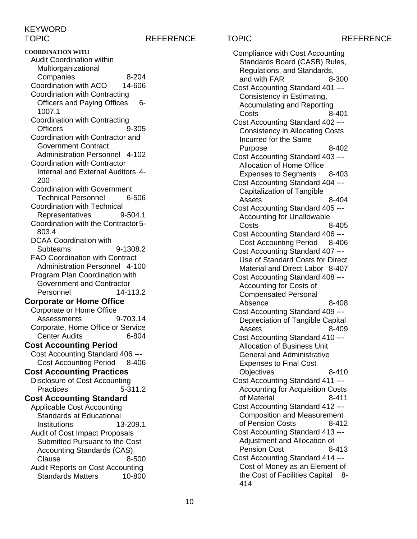TOPIC REFERENCE TOPIC REFERENCE

**COORDINATION WITH** Audit Coordination within Multiorganizational Companies 8-204 Coordination with ACO 14-606 Coordination with Contracting Officers and Paying Offices 6- 1007.1 Coordination with Contracting Officers 9-305 Coordination with Contractor and Government Contract Administration Personnel 4-102 Coordination with Contractor Internal and External Auditors 4- 200 Coordination with Government Technical Personnel 6-506 Coordination with Technical Representatives 9-504.1 Coordination with the Contractor5- 803.4 DCAA Coordination with Subteams 9-1308.2 FAO Coordination with Contract Administration Personnel 4-100 Program Plan Coordination with Government and Contractor Personnel 14-113.2 **Corporate or Home Office** Corporate or Home Office Assessments 9-703.14 Corporate, Home Office or Service Center Audits 6-804 **Cost Accounting Period** Cost Accounting Standard 406 --- Cost Accounting Period 8-406 **Cost Accounting Practices** Disclosure of Cost Accounting Practices 5-311.2 **Cost Accounting Standard** Applicable Cost Accounting Standards at Educational Institutions 13-209.1 Audit of Cost Impact Proposals Submitted Pursuant to the Cost Accounting Standards (CAS) Clause 8-500 Audit Reports on Cost Accounting Standards Matters 10-800

Compliance with Cost Accounting Standards Board (CASB) Rules, Regulations, and Standards, and with FAR 8-300 Cost Accounting Standard 401 --- Consistency in Estimating, Accumulating and Reporting Costs 8-401 Cost Accounting Standard 402 --- Consistency in Allocating Costs Incurred for the Same Purpose 8-402 Cost Accounting Standard 403 --- Allocation of Home Office Expenses to Seaments 8-403 Cost Accounting Standard 404 --- Capitalization of Tangible Assets 8-404 Cost Accounting Standard 405 --- Accounting for Unallowable Costs 8-405 Cost Accounting Standard 406 --- Cost Accounting Period 8-406 Cost Accounting Standard 407 --- Use of Standard Costs for Direct Material and Direct Labor 8-407 Cost Accounting Standard 408 --- Accounting for Costs of Compensated Personal Absence 8-408 Cost Accounting Standard 409 --- Depreciation of Tangible Capital Assets 8-409 Cost Accounting Standard 410 --- Allocation of Business Unit General and Administrative Expenses to Final Cost Objectives 8-410 Cost Accounting Standard 411 --- Accounting for Acquisition Costs of Material 8-411 Cost Accounting Standard 412 --- Composition and Measurement of Pension Costs 8-412 Cost Accounting Standard 413 --- Adjustment and Allocation of Pension Cost 8-413 Cost Accounting Standard 414 --- Cost of Money as an Element of the Cost of Facilities Capital 8- 414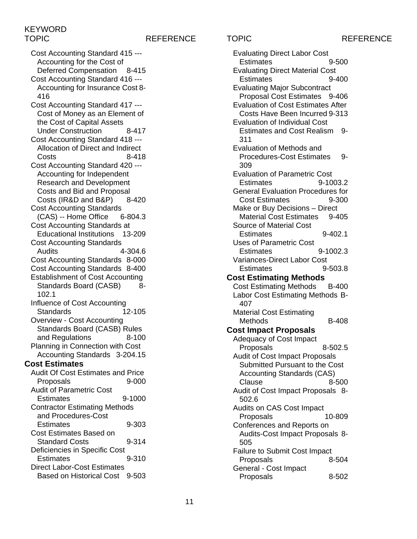### TOPIC REFERENCE TOPIC REFERENCE

Cost Accounting Standard 415 --- Accounting for the Cost of<br>Deferred Compensation 8-415 Deferred Compensation Cost Accounting Standard 416 --- Accounting for Insurance Cost 8- 416 Cost Accounting Standard 417 --- Cost of Money as an Element of the Cost of Capital Assets Under Construction 8-417 Cost Accounting Standard 418 --- Allocation of Direct and Indirect Costs 8-418 Cost Accounting Standard 420 --- Accounting for Independent Research and Development Costs and Bid and Proposal<br>Costs (IR&D and B&P) 8-420 Costs (IR&D and B&P) Cost Accounting Standards (CAS) -- Home Office 6-804.3 Cost Accounting Standards at Educational Institutions 13-209 Cost Accounting Standards Audits 4-304.6 Cost Accounting Standards 8-000 Cost Accounting Standards 8-400 Establishment of Cost Accounting Standards Board (CASB) 8-102.1 Influence of Cost Accounting Standards 12-105 Overview - Cost Accounting Standards Board (CASB) Rules and Regulations 8-100 Planning in Connection with Cost Accounting Standards 3-204.15 **Cost Estimates** Audit Of Cost Estimates and Price Proposals 9-000 Audit of Parametric Cost Estimates 9-1000 Contractor Estimating Methods and Procedures-Cost Estimates 9-303 Cost Estimates Based on Standard Costs 9-314 Deficiencies in Specific Cost Estimates 9-310 Direct Labor-Cost Estimates Based on Historical Cost 9-503

Evaluating Direct Labor Cost Estimates 9-500 Evaluating Direct Material Cost Estimates 9-400 Evaluating Major Subcontract Proposal Cost Estimates 9-406 Evaluation of Cost Estimates After Costs Have Been Incurred 9-313 Evaluation of Individual Cost Estimates and Cost Realism 9- 311 Evaluation of Methods and Procedures-Cost Estimates 9-309 Evaluation of Parametric Cost Estimates 9-1003.2 General Evaluation Procedures for Cost Estimates 9-300 Make or Buy Decisions – Direct Material Cost Estimates 9-405 Source of Material Cost Estimates 9-402.1 Uses of Parametric Cost Estimates 9-1002.3 Variances-Direct Labor Cost Estimates 9-503.8 **Cost Estimating Methods** Cost Estimating Methods B-400 Labor Cost Estimating Methods B-407 Material Cost Estimating Methods B-408 **Cost Impact Proposals** Adequacy of Cost Impact Proposals 8-502.5 Audit of Cost Impact Proposals Submitted Pursuant to the Cost Accounting Standards (CAS) Clause 8-500 Audit of Cost Impact Proposals 8- 502.6 Audits on CAS Cost Impact Proposals 10-809 Conferences and Reports on Audits-Cost Impact Proposals 8- 505 Failure to Submit Cost Impact Proposals 8-504 General - Cost Impact Proposals 8-502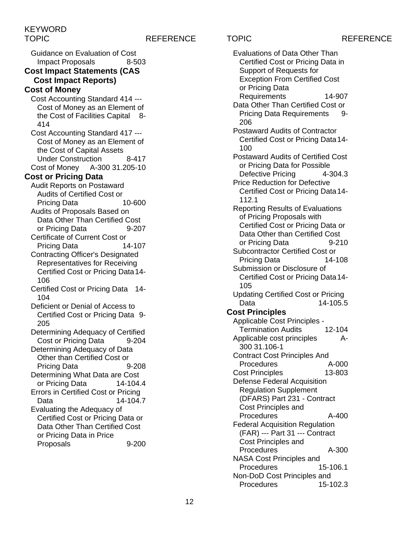Guidance on Evaluation of Cost Impact Proposals 8-503

## **Cost Impact Statements (CAS Cost Impact Reports)**

## **Cost of Money**

Cost Accounting Standard 414 --- Cost of Money as an Element of the Cost of Facilities Capital 8- 414

Cost Accounting Standard 417 --- Cost of Money as an Element of the Cost of Capital Assets Under Construction 8-417 Cost of Money A-300 31.205-10

### **Cost or Pricing Data**

- Audit Reports on Postaward Audits of Certified Cost or Pricing Data Audits of Proposals Based on
- Data Other Than Certified Cost or Pricing Data 9-207
- Certificate of Current Cost or Pricing Data 14-107
- Contracting Officer's Designated Representatives for Receiving Certified Cost or Pricing Data14- 106
- Certified Cost or Pricing Data 14- 104
- Deficient or Denial of Access to Certified Cost or Pricing Data 9- 205
- Determining Adequacy of Certified Cost or Pricing Data
- Determining Adequacy of Data Other than Certified Cost or Pricing Data 9-208
- Determining What Data are Cost or Pricing Data 14-104.4
- Errors in Certified Cost or Pricing Data 14-104.7
- Evaluating the Adequacy of Certified Cost or Pricing Data or Data Other Than Certified Cost or Pricing Data in Price Proposals 9-200

TOPIC REFERENCE TOPIC REFERENCE Evaluations of Data Other Than Certified Cost or Pricing Data in Support of Requests for Exception From Certified Cost or Pricing Data Requirements 14-907 Data Other Than Certified Cost or Pricing Data Requirements 9- 206 Postaward Audits of Contractor Certified Cost or Pricing Data14- 100 Postaward Audits of Certified Cost or Pricing Data for Possible Defective Pricing 4-304.3 Price Reduction for Defective Certified Cost or Pricing Data14- 112.1 Reporting Results of Evaluations of Pricing Proposals with Certified Cost or Pricing Data or Data Other than Certified Cost or Pricing Data 9-210 Subcontractor Certified Cost or Pricing Data 14-108 Submission or Disclosure of Certified Cost or Pricing Data14- 105 Updating Certified Cost or Pricing Data 14-105.5 **Cost Principles** Applicable Cost Principles - Termination Audits 12-104 Applicable cost principles A-300 31.106-1 Contract Cost Principles And<br>Procedures 64-000 **Procedures** Cost Principles 13-803 Defense Federal Acquisition Regulation Supplement (DFARS) Part 231 - Contract Cost Principles and Procedures A-400 Federal Acquisition Regulation (FAR) --- Part 31 --- Contract Cost Principles and Procedures A-300 NASA Cost Principles and

Procedures 15-106.1 Non-DoD Cost Principles and<br>Procedures 15-102.3 **Procedures**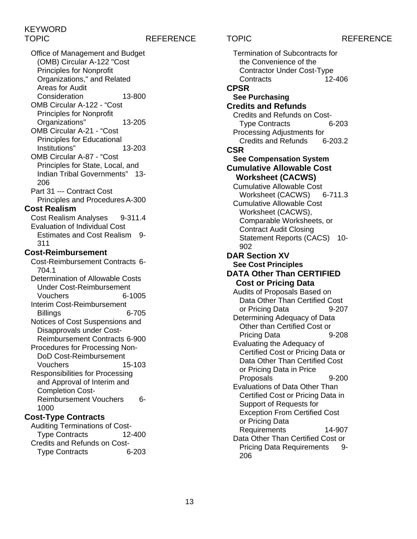## TOPIC REFERENCE TOPIC REFERENCE

Office of Management and Budget (OMB) Circular A-122 "Cost Principles for Nonprofit Organizations," and Related Areas for Audit Consideration 13-800 OMB Circular A-122 - "Cost Principles for Nonprofit Organizations" 13-205 OMB Circular A-21 - "Cost Principles for Educational Institutions" 13-203 OMB Circular A-87 - "Cost Principles for State, Local, and Indian Tribal Governments" 13- 206 Part 31 --- Contract Cost Principles and Procedures A-300 **Cost Realism** Cost Realism Analyses 9-311.4 Evaluation of Individual Cost Estimates and Cost Realism 9- 311 **Cost-Reimbursement** Cost-Reimbursement Contracts 6- 704.1 Determination of Allowable Costs Under Cost-Reimbursement Vouchers 6-1005 Interim Cost-Reimbursement Billings 6-705 Notices of Cost Suspensions and Disapprovals under Cost-Reimbursement Contracts 6-900 Procedures for Processing Non-DoD Cost-Reimbursement Vouchers 15-103 Responsibilities for Processing and Approval of Interim and Completion Cost-Reimbursement Vouchers 6- 1000

### **Cost-Type Contracts**

Auditing Terminations of Cost-Type Contracts 12-400 Credits and Refunds on Cost-Type Contracts 6-203

Termination of Subcontracts for the Convenience of the Contractor Under Cost-Type Contracts 12-406 **CPSR See Purchasing Credits and Refunds** Credits and Refunds on Cost-Type Contracts 6-203 Processing Adjustments for Credits and Refunds 6-203.2 **CSR See Compensation System Cumulative Allowable Cost Worksheet (CACWS)** Cumulative Allowable Cost<br>Worksheet (CACWS) 6-711.3 Worksheet (CACWS) Cumulative Allowable Cost Worksheet (CACWS), Comparable Worksheets, or Contract Audit Closing Statement Reports (CACS) 10-902 **DAR Section XV See Cost Principles DATA Other Than CERTIFIED Cost or Pricing Data** Audits of Proposals Based on Data Other Than Certified Cost or Pricing Data 9-207 Determining Adequacy of Data Other than Certified Cost or Pricing Data 9-208 Evaluating the Adequacy of Certified Cost or Pricing Data or Data Other Than Certified Cost or Pricing Data in Price Proposals 9-200 Evaluations of Data Other Than Certified Cost or Pricing Data in Support of Requests for Exception From Certified Cost or Pricing Data Requirements 14-907 Data Other Than Certified Cost or Pricing Data Requirements 9- 206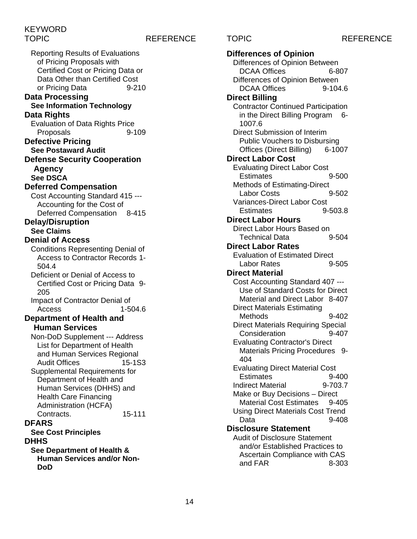Reporting Results of Evaluations of Pricing Proposals with Certified Cost or Pricing Data or Data Other than Certified Cost or Pricing Data 9-210 **Data Processing See Information Technology Data Rights** Evaluation of Data Rights Price<br>Proposals 9-109 Proposals **Defective Pricing See Postaward Audit Defense Security Cooperation Agency See DSCA Deferred Compensation** Cost Accounting Standard 415 --- Accounting for the Cost of Deferred Compensation 8-415 **Delay/Disruption See Claims Denial of Access** Conditions Representing Denial of Access to Contractor Records 1- 504.4 Deficient or Denial of Access to Certified Cost or Pricing Data 9- 205 Impact of Contractor Denial of Access 1-504.6 **Department of Health and Human Services** Non-DoD Supplement --- Address List for Department of Health and Human Services Regional Audit Offices 15-1S3 Supplemental Requirements for Department of Health and Human Services (DHHS) and Health Care Financing Administration (HCFA) Contracts. 15-111 **DFARS See Cost Principles DHHS See Department of Health & Human Services and/or Non-DoD**

TOPIC REFERENCE TOPIC REFERENCE **Differences of Opinion** Differences of Opinion Between DCAA Offices 6-807 Differences of Opinion Between DCAA Offices 9-104.6 **Direct Billing** Contractor Continued Participation in the Direct Billing Program 6- 1007.6 Direct Submission of Interim Public Vouchers to Disbursing<br>Offices (Direct Billing) 6-1007 Offices (Direct Billing) **Direct Labor Cost** Evaluating Direct Labor Cost<br>Estimates 09-500 **Estimates** Methods of Estimating-Direct Labor Costs 9-502 Variances-Direct Labor Cost Estimates 9-503.8 **Direct Labor Hours** Direct Labor Hours Based on Technical Data 9-504 **Direct Labor Rates** Evaluation of Estimated Direct Labor Rates 9-505 **Direct Material** Cost Accounting Standard 407 --- Use of Standard Costs for Direct Material and Direct Labor 8-407 Direct Materials Estimating Methods 9-402 Direct Materials Requiring Special Consideration 9-407 Evaluating Contractor's Direct Materials Pricing Procedures 9- 404 Evaluating Direct Material Cost Estimates 9-400 Indirect Material 9-703.7 Make or Buy Decisions – Direct Material Cost Estimates 9-405 Using Direct Materials Cost Trend Data 9-408 **Disclosure Statement** Audit of Disclosure Statement and/or Established Practices to Ascertain Compliance with CAS and  $FAR$  8-303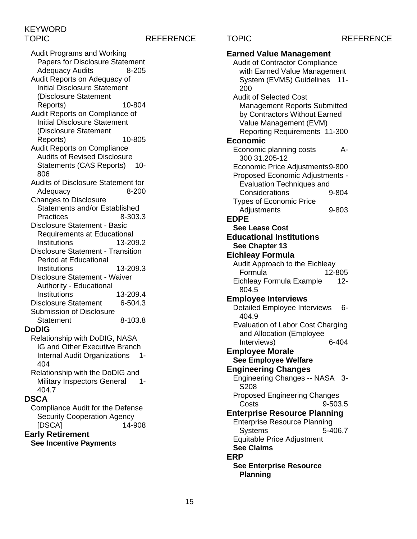## TOPIC REFERENCE TOPIC REFERENCE

Audit Programs and Working Papers for Disclosure Statement Adequacy Audits 8-205 Audit Reports on Adequacy of Initial Disclosure Statement (Disclosure Statement Reports) 10-804 Audit Reports on Compliance of Initial Disclosure Statement (Disclosure Statement Reports) 10-805 Audit Reports on Compliance Audits of Revised Disclosure Statements (CAS Reports) 10-806 Audits of Disclosure Statement for Adequacy 8-200 Changes to Disclosure Statements and/or Established Practices 8-303.3 Disclosure Statement - Basic Requirements at Educational Institutions 13-209.2 Disclosure Statement - Transition Period at Educational Institutions 13-209.3 Disclosure Statement - Waiver Authority - Educational Institutions 13-209.4 Disclosure Statement 6-504.3 Submission of Disclosure Statement 8-103.8 **DoDIG** Relationship with DoDIG, NASA IG and Other Executive Branch Internal Audit Organizations 1-

404 Relationship with the DoDIG and Military Inspectors General 1-404.7

## **DSCA**

Compliance Audit for the Defense Security Cooperation Agency [DSCA] 14-908

### **Early Retirement See Incentive Payments**

**Earned Value Management** Audit of Contractor Compliance with Earned Value Management System (EVMS) Guidelines 11- 200 Audit of Selected Cost Management Reports Submitted by Contractors Without Earned Value Management (EVM) Reporting Requirements 11-300 **Economic** Economic planning costs A-300 31.205-12 Economic Price Adjustments9-800 Proposed Economic Adjustments - Evaluation Techniques and Considerations 9-804 Types of Economic Price Adjustments 9-803 **EDPE See Lease Cost Educational Institutions See Chapter 13 Eichleay Formula** Audit Approach to the Eichleay Formula 12-805 Eichleay Formula Example 12- 804.5 **Employee Interviews** Detailed Employee Interviews 6-404.9 Evaluation of Labor Cost Charging and Allocation (Employee Interviews) 6-404 **Employee Morale See Employee Welfare Engineering Changes** Engineering Changes -- NASA 3- S208 Proposed Engineering Changes Costs 9-503.5 **Enterprise Resource Planning** Enterprise Resource Planning Systems 5-406.7 Equitable Price Adjustment **See Claims ERP See Enterprise Resource Planning**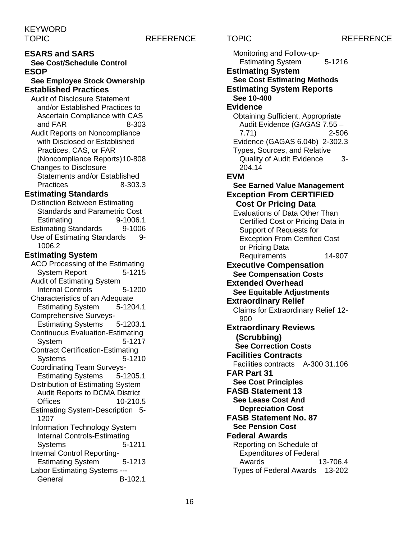### TOPIC REFERENCE TOPIC REFERENCE

**ESARS and SARS See Cost/Schedule Control ESOP See Employee Stock Ownership Established Practices** Audit of Disclosure Statement and/or Established Practices to Ascertain Compliance with CAS and  $FAR$  8-303 Audit Reports on Noncompliance with Disclosed or Established Practices, CAS, or FAR (Noncompliance Reports)10-808 Changes to Disclosure Statements and/or Established Practices 8-303.3 **Estimating Standards** Distinction Between Estimating Standards and Parametric Cost Estimating 9-1006.1 Estimating Standards 9-1006 Use of Estimating Standards 9-1006.2 **Estimating System** ACO Processing of the Estimating System Report 5-1215 Audit of Estimating System Internal Controls 5-1200 Characteristics of an Adequate<br>Estimating System 5-1204.1 **Estimating System** Comprehensive Surveys-Estimating Systems 5-1203.1 Continuous Evaluation-Estimating System 5-1217 Contract Certification-Estimating Systems 5-1210 Coordinating Team Surveys-Estimating Systems 5-1205.1 Distribution of Estimating System Audit Reports to DCMA District Offices 10-210.5 Estimating System-Description 5- 1207 Information Technology System Internal Controls-Estimating Systems 5-1211 Internal Control Reporting-Estimating System 5-1213 Labor Estimating Systems --- General B-102.1

Monitoring and Follow-up-Estimating System 5-1216 **Estimating System See Cost Estimating Methods Estimating System Reports See 10-400 Evidence** Obtaining Sufficient, Appropriate Audit Evidence (GAGAS 7.55 – 7.71) 2-506 Evidence (GAGAS 6.04b) 2-302.3 Types, Sources, and Relative Quality of Audit Evidence 3- 204.14 **EVM See Earned Value Management Exception From CERTIFIED Cost Or Pricing Data** Evaluations of Data Other Than Certified Cost or Pricing Data in Support of Requests for Exception From Certified Cost or Pricing Data Requirements 14-907 **Executive Compensation See Compensation Costs Extended Overhead See Equitable Adjustments Extraordinary Relief** Claims for Extraordinary Relief 12- 900 **Extraordinary Reviews (Scrubbing) See Correction Costs Facilities Contracts** Facilities contracts A-300 31.106 **FAR Part 31 See Cost Principles FASB Statement 13 See Lease Cost And Depreciation Cost FASB Statement No. 87 See Pension Cost Federal Awards** Reporting on Schedule of Expenditures of Federal Awards 13-706.4 Types of Federal Awards 13-202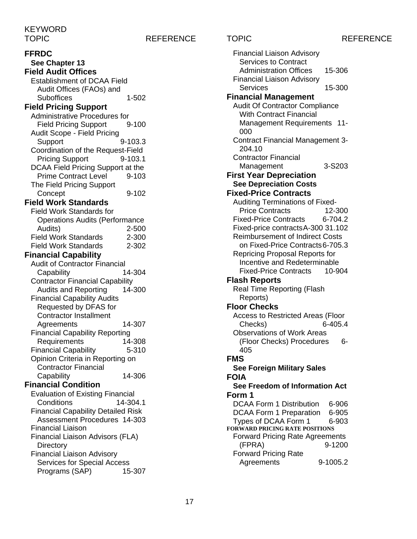TOPIC REFERENCE TOPIC REFERENCE

**FFRDC See Chapter 13 Field Audit Offices** Establishment of DCAA Field Audit Offices (FAOs) and Suboffices 1-502 **Field Pricing Support** Administrative Procedures for Field Pricing Support 9-100 Audit Scope - Field Pricing Support 9-103.3 Coordination of the Request-Field Pricing Support 9-103.1 DCAA Field Pricing Support at the Prime Contract Level 9-103 The Field Pricing Support Concept 9-102 **Field Work Standards** Field Work Standards for Operations Audits (Performance Audits) 2-500 Field Work Standards 2-300 Field Work Standards 2-302 **Financial Capability** Audit of Contractor Financial Capability 14-304 Contractor Financial Capability Audits and Reporting 14-300 Financial Capability Audits Requested by DFAS for Contractor Installment Agreements 14-307 Financial Capability Reporting Requirements 14-308 Financial Capability 5-310 Opinion Criteria in Reporting on Contractor Financial Capability 14-306 **Financial Condition** Evaluation of Existing Financial Conditions 14-304.1 Financial Capability Detailed Risk Assessment Procedures 14-303 Financial Liaison Financial Liaison Advisors (FLA) **Directory** Financial Liaison Advisory Services for Special Access<br>Programs (SAP) 15-307 Programs (SAP)

Financial Liaison Advisory Services to Contract Administration Offices 15-306 Financial Liaison Advisory Services 15-300 **Financial Management** Audit Of Contractor Compliance With Contract Financial Management Requirements 11- 000 Contract Financial Management 3- 204.10 Contractor Financial Management 3-S203 **First Year Depreciation See Depreciation Costs Fixed-Price Contracts** Auditing Terminations of Fixed-Price Contracts 12-300 Fixed-Price Contracts 6-704.2 Fixed-price contractsA-300 31.102 Reimbursement of Indirect Costs on Fixed-Price Contracts6-705.3 Repricing Proposal Reports for Incentive and Redeterminable Fixed-Price Contracts 10-904 **Flash Reports** Real Time Reporting (Flash Reports) **Floor Checks** Access to Restricted Areas (Floor<br>Checks) 6-405-4  $Checks)$ Observations of Work Areas (Floor Checks) Procedures 6- 405 **FMS See Foreign Military Sales FOIA See Freedom of Information Act Form 1** DCAA Form 1 Distribution 6-906<br>DCAA Form 1 Preparation 6-905 DCAA Form 1 Preparation Types of DCAA Form 1 6-903 **FORWARD PRICING RATE POSITIONS** Forward Pricing Rate Agreements (FPRA) 9-1200 Forward Pricing Rate Agreements 9-1005.2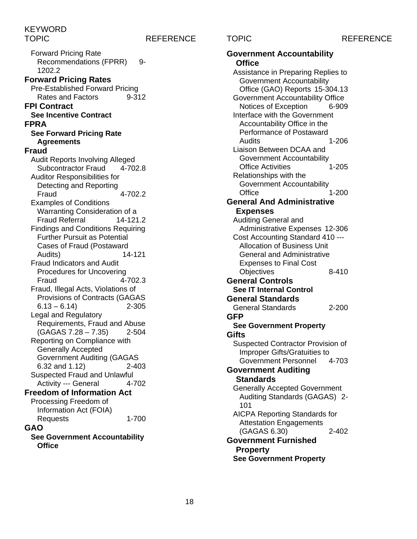## TOPIC REFERENCE TOPIC REFERENCE

Forward Pricing Rate Recommendations (FPRR) 9-1202.2 **Forward Pricing Rates** Pre-Established Forward Pricing Rates and Factors 9-312 **FPI Contract See Incentive Contract FPRA See Forward Pricing Rate Agreements Fraud** Audit Reports Involving Alleged Subcontractor Fraud 4-702.8 Auditor Responsibilities for Detecting and Reporting Fraud 4-702.2 Examples of Conditions Warranting Consideration of a Fraud Referral 14-121.2 Findings and Conditions Requiring Further Pursuit as Potential Cases of Fraud (Postaward<br>Audits) 14-121 Audits) Fraud Indicators and Audit Procedures for Uncovering Fraud 4-702.3 Fraud, Illegal Acts, Violations of Provisions of Contracts (GAGAS  $6.13 - 6.14$  2-305 Legal and Regulatory Requirements, Fraud and Abuse  $(GAGAS 7.28 - 7.35)$  2-504 Reporting on Compliance with Generally Accepted Government Auditing (GAGAS 6.32 and 1.12) 2-403 Suspected Fraud and Unlawful Activity --- General 4-702 **Freedom of Information Act** Processing Freedom of Information Act (FOIA) Requests 1-700 **GAO See Government Accountability Office**

| <b>Government Accountability</b>         |
|------------------------------------------|
| <b>Office</b>                            |
| Assistance in Preparing Replies to       |
| Government Accountability                |
| Office (GAO) Reports 15-304.13           |
| <b>Government Accountability Office</b>  |
| Notices of Exception<br>6-909            |
| Interface with the Government            |
| Accountability Office in the             |
| Performance of Postaward                 |
| 1-206<br>Audits                          |
| Liaison Between DCAA and                 |
| Government Accountability                |
| $1 - 205$<br><b>Office Activities</b>    |
| Relationships with the                   |
| <b>Government Accountability</b>         |
| Office<br>1-200                          |
| <b>General And Administrative</b>        |
| <b>Expenses</b>                          |
| Auditing General and                     |
| Administrative Expenses 12-306           |
| Cost Accounting Standard 410 ---         |
| <b>Allocation of Business Unit</b>       |
| <b>General and Administrative</b>        |
| <b>Expenses to Final Cost</b>            |
| Objectives<br>8-410                      |
| <b>General Controls</b>                  |
| <b>See IT Internal Control</b>           |
|                                          |
| <b>General Standards</b>                 |
| <b>General Standards</b><br>2-200        |
| <b>GFP</b>                               |
| <b>See Government Property</b>           |
| Gifts                                    |
| <b>Suspected Contractor Provision of</b> |
| <b>Improper Gifts/Gratuities to</b>      |
| <b>Government Personnel</b><br>4-703     |
| <b>Government Auditing</b>               |
| <b>Standards</b>                         |
| <b>Generally Accepted Government</b>     |
| Auditing Standards (GAGAS) 2-            |
| 101                                      |
| <b>AICPA Reporting Standards for</b>     |
| <b>Attestation Engagements</b>           |
| (GAGAS 6.30)<br>2-402                    |
| <b>Government Furnished</b>              |
| <b>Property</b>                          |
| <b>See Government Property</b>           |
|                                          |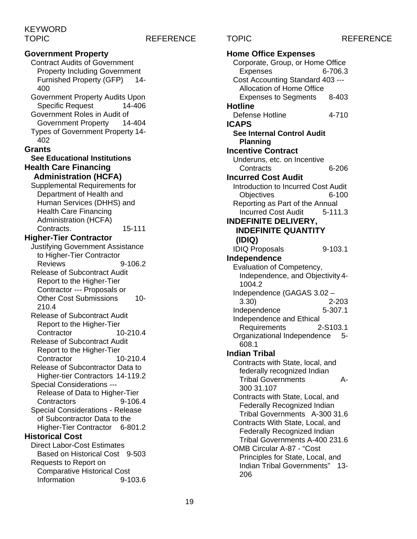## TOPIC REFERENCE TOPIC REFERENCE

**Government Property** Contract Audits of Government Property Including Government Furnished Property (GFP) 14- 400 Government Property Audits Upon<br>Specific Request 14-406 Specific Request Government Roles in Audit of Government Property 14-404 Types of Government Property 14- 402 **Grants See Educational Institutions Health Care Financing Administration (HCFA)** Supplemental Requirements for Department of Health and Human Services (DHHS) and Health Care Financing Administration (HCFA) Contracts. 15-111 **Higher-Tier Contractor** Justifying Government Assistance to Higher-Tier Contractor Reviews 9-106.2 Release of Subcontract Audit Report to the Higher-Tier Contractor --- Proposals or Other Cost Submissions 10- 210.4 Release of Subcontract Audit Report to the Higher-Tier Contractor 10-210.4 Release of Subcontract Audit Report to the Higher-Tier Contractor 10-210.4 Release of Subcontractor Data to Higher-tier Contractors 14-119.2 Special Considerations --- Release of Data to Higher-Tier Contractors 9-106.4 Special Considerations - Release of Subcontractor Data to the Higher-Tier Contractor 6-801.2 **Historical Cost** Direct Labor-Cost Estimates Based on Historical Cost 9-503 Requests to Report on Comparative Historical Cost Information 9-103.6

**Home Office Expenses** Corporate, Group, or Home Office Expenses 6-706.3 Cost Accounting Standard 403 --- Allocation of Home Office Expenses to Segments 8-403 **Hotline** Defense Hotline 4-710 **ICAPS See Internal Control Audit Planning Incentive Contract** Underuns, etc. on Incentive Contracts 6-206 **Incurred Cost Audit** Introduction to Incurred Cost Audit Objectives 6-100 Reporting as Part of the Annual Incurred Cost Audit 5-111.3 **INDEFINITE DELIVERY, INDEFINITE QUANTITY (IDIQ)** IDIQ Proposals 9-103.1 **Independence** Evaluation of Competency, Independence, and Objectivity 4- 1004.2 Independence (GAGAS 3.02 – 3.30) 2-203 Independence Independence and Ethical Requirements 2-S103.1 Organizational Independence 5- 608.1 **Indian Tribal** Contracts with State, local, and federally recognized Indian Tribal Governments A-300 31.107 Contracts with State, Local, and Federally Recognized Indian Tribal Governments A-300 31.6 Contracts With State, Local, and Federally Recognized Indian Tribal Governments A-400 231.6 OMB Circular A-87 - "Cost Principles for State, Local, and Indian Tribal Governments" 13- 206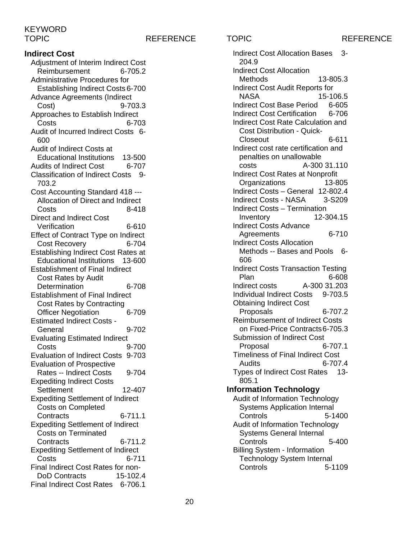TOPIC REFERENCE TOPIC REFERENCE

**Indirect Cost** Adjustment of Interim Indirect Cost Reimbursement 6-705.2 Administrative Procedures for Establishing Indirect Costs 6-700 Advance Agreements (Indirect Cost) 9-703.3 Approaches to Establish Indirect Costs 6-703 Audit of Incurred Indirect Costs 6- 600 Audit of Indirect Costs at Educational Institutions 13-500<br>
udits of Indirect Cost 6-707 Audits of Indirect Cost Classification of Indirect Costs 9- 703.2 Cost Accounting Standard 418 --- Allocation of Direct and Indirect Costs 8-418 Direct and Indirect Cost Verification 6-610 Effect of Contract Type on Indirect Cost Recovery 6-704 Establishing Indirect Cost Rates at Educational Institutions 13-600 Establishment of Final Indirect Cost Rates by Audit Determination 6-708 Establishment of Final Indirect Cost Rates by Contracting Officer Negotiation 6-709 Estimated Indirect Costs - General 9-702 Evaluating Estimated Indirect Costs 9-700 Evaluation of Indirect Costs 9-703 Evaluation of Prospective Rates -- Indirect Costs 9-704 Expediting Indirect Costs Settlement 12-407 Expediting Settlement of Indirect Costs on Completed Contracts 6-711.1 Expediting Settlement of Indirect Costs on Terminated Contracts 6-711.2 Expediting Settlement of Indirect Costs 6-711 Final Indirect Cost Rates for non-DoD Contracts 15-102.4 Final Indirect Cost Rates 6-706.1

Indirect Cost Allocation Bases 3- 204.9 Indirect Cost Allocation Methods 13-805.3 Indirect Cost Audit Reports for NASA 15-106.5 Indirect Cost Base Period 6-605 Indirect Cost Certification 6-706 Indirect Cost Rate Calculation and Cost Distribution - Quick-Closeout 6-611 Indirect cost rate certification and penalties on unallowable costs A-300 31.110 Indirect Cost Rates at Nonprofit Organizations 13-805 Indirect Costs – General 12-802.4 Indirect Costs - NASA 3-S209 Indirect Costs – Termination Inventory 12-304.15 Indirect Costs Advance Agreements 6-710 Indirect Costs Allocation Methods -- Bases and Pools 6-606 Indirect Costs Transaction Testing Plan 6-608 Indirect costs A-300 31.203 Individual Indirect Costs 9-703.5 Obtaining Indirect Cost Proposals 6-707.2 Reimbursement of Indirect Costs on Fixed-Price Contracts6-705.3 Submission of Indirect Cost Proposal 6-707.1 Timeliness of Final Indirect Cost Audits 6-707.4 Types of Indirect Cost Rates 13- 805.1 **Information Technology** Audit of Information Technology Systems Application Internal Controls 5-1400 Audit of Information Technology Systems General Internal Controls 5-400 Billing System - Information Technology System Internal Controls 5-1109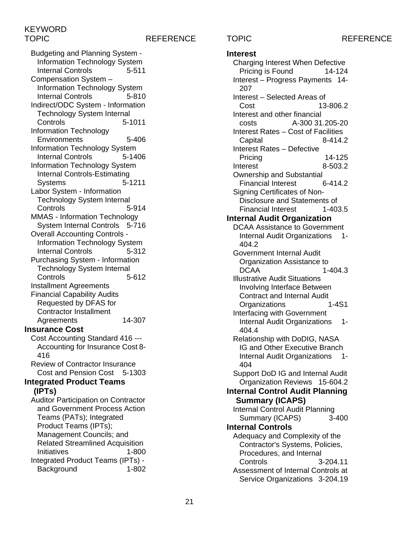## TOPIC REFERENCE TOPIC REFERENCE

Budgeting and Planning System - Information Technology System Internal Controls 5-511 Compensation System – Information Technology System Internal Controls 5-810 Indirect/ODC System - Information Technology System Internal Controls 5-1011 Information Technology Environments 5-406 Information Technology System Internal Controls 5-1406 Information Technology System Internal Controls-Estimating Systems 5-1211 Labor System - Information Technology System Internal Controls 5-914 MMAS - Information Technology System Internal Controls 5-716 Overall Accounting Controls - Information Technology System Internal Controls 5-312 Purchasing System - Information Technology System Internal Controls 5-612 Installment Agreements Financial Capability Audits Requested by DFAS for Contractor Installment Agreements 14-307 **Insurance Cost** Cost Accounting Standard 416 --- Accounting for Insurance Cost 8- 416 Review of Contractor Insurance Cost and Pension Cost 5-1303 **Integrated Product Teams (IPTs)** Auditor Participation on Contractor and Government Process Action Teams (PATs); Integrated Product Teams (IPTs); Management Councils; and Related Streamlined Acquisition Initiatives 1-800

Integrated Product Teams (IPTs) - Background 1-802

**Interest** Charging Interest When Defective Pricing is Found 14-124 Interest – Progress Payments 14- 207 Interest – Selected Areas of 13-806.2 Interest and other financial costs A-300 31.205-20 Interest Rates – Cost of Facilities Capital 8-414.2 Interest Rates – Defective Pricing 14-125<br>terest 8-503.2 **Interest** Ownership and Substantial Financial Interest 6-414.2 Signing Certificates of Non-Disclosure and Statements of Financial Interest 1-403.5 **Internal Audit Organization** DCAA Assistance to Government Internal Audit Organizations 1-404.2 Government Internal Audit Organization Assistance to<br>-1- $1 - 404.3$ Illustrative Audit Situations Involving Interface Between **Contract and Internal Audit<br>Organizations** 1-4S1 **Organizations** Interfacing with Government Internal Audit Organizations 1- 404.4 Relationship with DoDIG, NASA IG and Other Executive Branch Internal Audit Organizations 1- 404 Support DoD IG and Internal Audit Organization Reviews 15-604.2 **Internal Control Audit Planning Summary (ICAPS)** Internal Control Audit Planning<br>Summary (ICAPS) 3-400 Summary (ICAPS) **Internal Controls** Adequacy and Complexity of the Contractor's Systems, Policies, Procedures, and Internal Controls 3-204.11 Assessment of Internal Controls at Service Organizations 3-204.19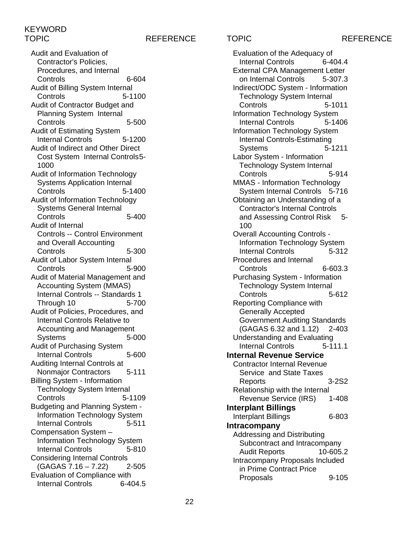TOPIC REFERENCE TOPIC REFERENCE Evaluation of the Adequacy of

Audit and Evaluation of Contractor's Policies, Procedures, and Internal Controls 6-604 Audit of Billing System Internal Controls 5-1100 Audit of Contractor Budget and Planning System Internal Controls 5-500 Audit of Estimating System Internal Controls 5-1200 Audit of Indirect and Other Direct Cost System Internal Controls5- 1000 Audit of Information Technology Systems Application Internal Controls 5-1400 Audit of Information Technology Systems General Internal Controls 5-400 Audit of Internal Controls -- Control Environment and Overall Accounting Controls 5-300 Audit of Labor System Internal Controls 5-900 Audit of Material Management and Accounting System (MMAS) Internal Controls -- Standards 1 Through 10 5-700 Audit of Policies, Procedures, and Internal Controls Relative to Accounting and Management Systems 5-000 Audit of Purchasing System Internal Controls 5-600 Auditing Internal Controls at Nonmajor Contractors 5-111 Billing System - Information Technology System Internal Controls 5-1109 Budgeting and Planning System - Information Technology System Internal Controls 5-511 Compensation System – Information Technology System Internal Controls 5-810 Considering Internal Controls  $(GAGAS 7.16 - 7.22)$  2-505 Evaluation of Compliance with Internal Controls 6-404.5

Internal Controls 6-404.4 External CPA Management Letter on Internal Controls 5-307.3 Indirect/ODC System - Information Technology System Internal Controls 5-1011 Information Technology System Internal Controls 5-1406 Information Technology System Internal Controls-Estimating Systems 5-1211 Labor System - Information Technology System Internal Controls 5-914 MMAS - Information Technology System Internal Controls 5-716 Obtaining an Understanding of a Contractor's Internal Controls and Assessing Control Risk 5- 100 Overall Accounting Controls - Information Technology System Internal Controls 5-312 Procedures and Internal Controls 6-603.3 Purchasing System - Information Technology System Internal Controls 5-612 Reporting Compliance with Generally Accepted Government Auditing Standards (GAGAS 6.32 and 1.12) 2-403 Understanding and Evaluating Internal Controls 5-111.1 **Internal Revenue Service** Contractor Internal Revenue Service and State Taxes Reports 3-2S2 Relationship with the Internal Revenue Service (IRS) 1-408 **Interplant Billings** Interplant Billings 6-803 **Intracompany** Addressing and Distributing Subcontract and Intracompany Audit Reports 10-605.2 Intracompany Proposals Included in Prime Contract Price Proposals 9-105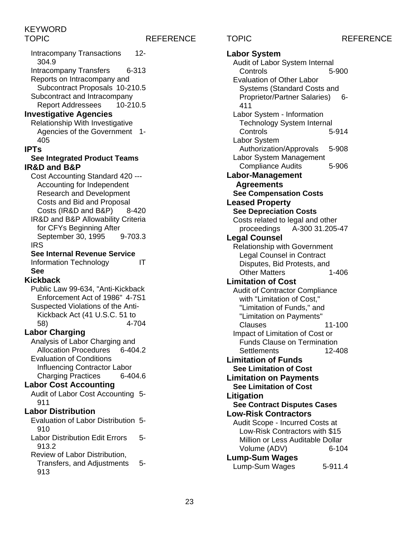## TOPIC REFERENCE TOPIC REFERENCE

Intracompany Transactions 12- 304.9 Intracompany Transfers 6-313 Reports on Intracompany and Subcontract Proposals 10-210.5 Subcontract and Intracompany<br>Report Addressees 10-210.5 **Report Addressees Investigative Agencies** Relationship With Investigative Agencies of the Government 1- 405 **IPTs See Integrated Product Teams IR&D and B&P** Cost Accounting Standard 420 --- Accounting for Independent Research and Development Costs and Bid and Proposal Costs (IR&D and B&P) 8-420 IR&D and B&P Allowability Criteria for CFYs Beginning After<br>September 30. 1995 9-703.3 September 30, 1995 IRS **See Internal Revenue Service** Information Technology IT **See Kickback** Public Law 99-634, "Anti-Kickback Enforcement Act of 1986" 4-7S1 Suspected Violations of the Anti-Kickback Act (41 U.S.C. 51 to 58) 4-704 **Labor Charging** Analysis of Labor Charging and Allocation Procedures 6-404.2 Evaluation of Conditions Influencing Contractor Labor Charging Practices 6-404.6 **Labor Cost Accounting** Audit of Labor Cost Accounting 5- 911 **Labor Distribution** Evaluation of Labor Distribution 5- 910 Labor Distribution Edit Errors 5- 913.2 Review of Labor Distribution, Transfers, and Adjustments 5- 913

**Labor System** Audit of Labor System Internal Controls 5-900 Evaluation of Other Labor Systems (Standard Costs and Proprietor/Partner Salaries) 6-411 Labor System - Information Technology System Internal Controls 5-914 Labor System Authorization/Approvals 5-908 Labor System Management Compliance Audits 5-906 **Labor-Management Agreements See Compensation Costs Leased Property See Depreciation Costs** Costs related to legal and other proceedings A-300 31.205-47 **Legal Counsel** Relationship with Government Legal Counsel in Contract Disputes, Bid Protests, and Other Matters 1-406 **Limitation of Cost** Audit of Contractor Compliance with "Limitation of Cost," "Limitation of Funds," and "Limitation on Payments" Clauses 11-100 Impact of Limitation of Cost or Funds Clause on Termination Settlements 12-408 **Limitation of Funds See Limitation of Cost Limitation on Payments See Limitation of Cost Litigation See Contract Disputes Cases Low-Risk Contractors** Audit Scope - Incurred Costs at Low-Risk Contractors with \$15 Million or Less Auditable Dollar Volume (ADV) 6-104 **Lump-Sum Wages** Lump-Sum Wages 5-911.4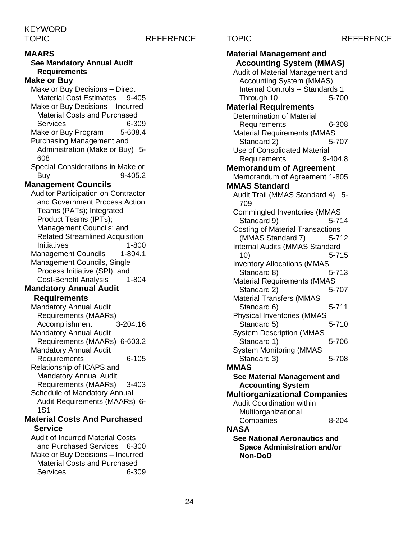### TOPIC REFERENCE TOPIC REFERENCE

### **MAARS**

**See Mandatory Annual Audit Requirements**

### **Make or Buy**

Make or Buy Decisions – Direct Material Cost Estimates 9-405 Make or Buy Decisions – Incurred Material Costs and Purchased Services 6-309<br>ake or Buv Program 5-608.4 Make or Buy Program Purchasing Management and Administration (Make or Buy) 5- 608 Special Considerations in Make or Buy 9-405.2 **Management Councils** Auditor Participation on Contractor and Government Process Action Teams (PATs); Integrated Product Teams (IPTs); Management Councils; and Related Streamlined Acquisition Initiatives 1-800 Management Councils 1-804.1 Management Councils, Single Process Initiative (SPI), and Cost-Benefit Analysis 1-804 **Mandatory Annual Audit Requirements** Mandatory Annual Audit Requirements (MAARs)<br>Accomplishment 3-204.16 Accomplishment Mandatory Annual Audit Requirements (MAARs) 6-603.2

Mandatory Annual Audit Requirements 6-105 Relationship of ICAPS and Mandatory Annual Audit Requirements (MAARs) 3-403 Schedule of Mandatory Annual Audit Requirements (MAARs) 6- 1S1

### **Material Costs And Purchased Service**

Audit of Incurred Material Costs and Purchased Services 6-300 Make or Buy Decisions – Incurred Material Costs and Purchased Services 6-309

**Material Management and Accounting System (MMAS)** Audit of Material Management and Accounting System (MMAS) Internal Controls -- Standards 1 Through 10 5-700 **Material Requirements** Determination of Material Requirements 6-308 Material Requirements (MMAS Standard 2) 5-707 Use of Consolidated Material Requirements 9-404.8 **Memorandum of Agreement** Memorandum of Agreement 1-805 **MMAS Standard** Audit Trail (MMAS Standard 4) 5- 709 Commingled Inventories (MMAS Standard 9) 5-714 Costing of Material Transactions (MMAS Standard 7) 5-712 Internal Audits (MMAS Standard 10) 5-715 Inventory Allocations (MMAS Standard 8) 5-713 Material Requirements (MMAS Standard 2) 5-707 Material Transfers (MMAS Standard 6) 5-711 Physical Inventories (MMAS Standard 5) 5-710 System Description (MMAS Standard 1) 5-706 System Monitoring (MMAS Standard 3) 5-708 **MMAS See Material Management and Accounting System Multiorganizational Companies** Audit Coordination within Multiorganizational Companies 8-204 **NASA See National Aeronautics and Space Administration and/or Non-DoD**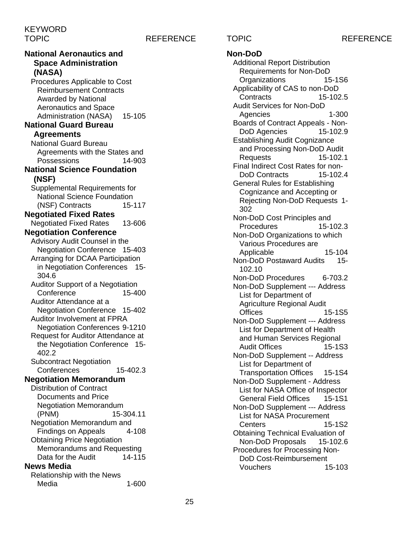**National Aeronautics and Space Administration (NASA)** Procedures Applicable to Cost Reimbursement Contracts Awarded by National Aeronautics and Space Administration (NASA) 15-105 **National Guard Bureau Agreements** National Guard Bureau Agreements with the States and Possessions 14-903 **National Science Foundation (NSF)** Supplemental Requirements for National Science Foundation (NSF) Contracts 15-117 **Negotiated Fixed Rates** Negotiated Fixed Rates 13-606 **Negotiation Conference** Advisory Audit Counsel in the Negotiation Conference 15-403 Arranging for DCAA Participation in Negotiation Conferences 15- 304.6 Auditor Support of a Negotiation Conference 15-400 Auditor Attendance at a Negotiation Conference 15-402 Auditor Involvement at FPRA Negotiation Conferences 9-1210 Request for Auditor Attendance at the Negotiation Conference 15- 402.2 Subcontract Negotiation Conferences 15-402.3 **Negotiation Memorandum** Distribution of Contract Documents and Price Negotiation Memorandum (PNM) 15-304.11 Negotiation Memorandum and Findings on Appeals 4-108 Obtaining Price Negotiation Memorandums and Requesting<br>Data for the Audit 14-115 Data for the Audit **News Media** Relationship with the News Media 1-600

TOPIC REFERENCE TOPIC REFERENCE **Non-DoD** Additional Report Distribution Requirements for Non-DoD Organizations 15-1S6 Applicability of CAS to non-DoD Contracts 15-102.5 Audit Services for Non-DoD Agencies 1-300 Boards of Contract Appeals - Non-DoD Agencies 15-102.9 Establishing Audit Cognizance and Processing Non-DoD Audit Requests 15-102.1 Final Indirect Cost Rates for non-DoD Contracts 15-102.4 General Rules for Establishing Cognizance and Accepting or Rejecting Non-DoD Requests 1- 302 Non-DoD Cost Principles and Procedures 15-102.3 Non-DoD Organizations to which Various Procedures are Applicable 15-104 Non-DoD Postaward Audits 15- 102.10 Non-DoD Procedures 6-703.2 Non-DoD Supplement --- Address List for Department of Agriculture Regional Audit Offices 15-1S5 Non-DoD Supplement --- Address

List for Department of Health and Human Services Regional Audit Offices 15-1S3 Non-DoD Supplement -- Address List for Department of Transportation Offices 15-1S4 Non-DoD Supplement - Address List for NASA Office of Inspector General Field Offices 15-1S1 Non-DoD Supplement --- Address List for NASA Procurement Centers 15-1S2 Obtaining Technical Evaluation of Non-DoD Proposals 15-102.6 Procedures for Processing Non-DoD Cost-Reimbursement

Vouchers 15-103

25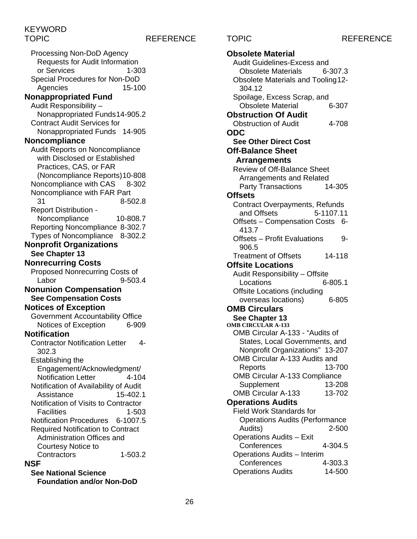### TOPIC REFERENCE TOPIC REFERENCE

Processing Non-DoD Agency Requests for Audit Information or Services 1-303 Special Procedures for Non-DoD Agencies 15-100 **Nonappropriated Fund** Audit Responsibility – Nonappropriated Funds14-905.2 Contract Audit Services for Nonappropriated Funds 14-905 **Noncompliance** Audit Reports on Noncompliance with Disclosed or Established Practices, CAS, or FAR (Noncompliance Reports)10-808 Noncompliance with CAS 8-302 Noncompliance with FAR Part 31 8-502.8 Report Distribution - Noncompliance 10-808.7 Reporting Noncompliance 8-302.7 Types of Noncompliance 8-302.2 **Nonprofit Organizations See Chapter 13 Nonrecurring Costs** Proposed Nonrecurring Costs of Labor 9-503.4 **Nonunion Compensation See Compensation Costs Notices of Exception** Government Accountability Office Notices of Exception 6-909 **Notification** Contractor Notification Letter 4- 302.3 Establishing the Engagement/Acknowledgment/ Notification Letter 4-104 Notification of Availability of Audit Assistance 15-402.1 Notification of Visits to Contractor Facilities 1-503 Notification Procedures 6-1007.5 Required Notification to Contract Administration Offices and Courtesy Notice to Contractors 1-503.2 **NSF**

**See National Science Foundation and/or Non-DoD**

**Obsolete Material** Audit Guidelines-Excess and Obsolete Materials 6-307.3 Obsolete Materials and Tooling12- 304.12 Spoilage, Excess Scrap, and<br>Obsolete Material 6-307 Obsolete Material **Obstruction Of Audit** Obstruction of Audit 4-708 **ODC See Other Direct Cost Off-Balance Sheet Arrangements** Review of Off-Balance Sheet Arrangements and Related Party Transactions 14-305 **Offsets** Contract Overpayments, Refunds<br>and Offsets 5-1107.11 and Offsets Offsets – Compensation Costs 6- 413.7 Offsets – Profit Evaluations 9- 906.5 Treatment of Offsets 14-118 **Offsite Locations** Audit Responsibility – Offsite Locations 6-805.1 Offsite Locations (including overseas locations) 6-805 **OMB Circulars See Chapter 13 OMB CIRCULAR A-133** OMB Circular A-133 - "Audits of States, Local Governments, and Nonprofit Organizations" 13-207 OMB Circular A-133 Audits and Reports 13-700 OMB Circular A-133 Compliance Supplement 13-208<br>MB Circular A-133 13-702 OMB Circular A-133 **Operations Audits** Field Work Standards for Operations Audits (Performance Audits) 2-500 Operations Audits – Exit Conferences 4-304.5 Operations Audits – Interim Conferences 4-303.3 Operations Audits 14-500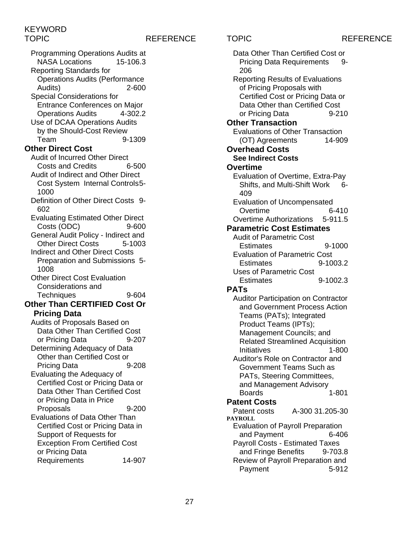## TOPIC REFERENCE TOPIC REFERENCE

Programming Operations Audits at **NASA Locations** Reporting Standards for Operations Audits (Performance Audits) 2-600 Special Considerations for Entrance Conferences on Major Operations Audits 4-302.2 Use of DCAA Operations Audits by the Should-Cost Review Team 9-1309 **Other Direct Cost** Audit of Incurred Other Direct<br>Costs and Credits 6-500 Costs and Credits Audit of Indirect and Other Direct Cost System Internal Controls5- 1000 Definition of Other Direct Costs 9- 602 Evaluating Estimated Other Direct Costs (ODC) 9-600 General Audit Policy - Indirect and Other Direct Costs 5-1003 Indirect and Other Direct Costs Preparation and Submissions 5- 1008 Other Direct Cost Evaluation Considerations and Techniques 9-604 **Other Than CERTIFIED Cost Or Pricing Data** Audits of Proposals Based on Data Other Than Certified Cost or Pricing Data 9-207 Determining Adequacy of Data Other than Certified Cost or Pricing Data 9-208 Evaluating the Adequacy of Certified Cost or Pricing Data or Data Other Than Certified Cost or Pricing Data in Price Proposals 9-200 Evaluations of Data Other Than Certified Cost or Pricing Data in Support of Requests for Exception From Certified Cost or Pricing Data Requirements 14-907

| Data Other Than Certified Cost or          |
|--------------------------------------------|
| <b>Pricing Data Requirements</b><br>9-     |
| 206                                        |
| <b>Reporting Results of Evaluations</b>    |
| of Pricing Proposals with                  |
|                                            |
| Certified Cost or Pricing Data or          |
| Data Other than Certified Cost             |
| or Pricing Data<br>9-210                   |
| <b>Other Transaction</b>                   |
| <b>Evaluations of Other Transaction</b>    |
| 14-909<br>(OT) Agreements                  |
| <b>Overhead Costs</b>                      |
| <b>See Indirect Costs</b>                  |
|                                            |
| <b>Overtime</b>                            |
| Evaluation of Overtime, Extra-Pay          |
| Shifts, and Multi-Shift Work<br>հ-         |
| 409                                        |
| <b>Evaluation of Uncompensated</b>         |
| Overtime<br>6-410                          |
| <b>Overtime Authorizations</b><br>5-911.5  |
|                                            |
| <b>Parametric Cost Estimates</b>           |
| <b>Audit of Parametric Cost</b>            |
| 9-1000<br><b>Estimates</b>                 |
| <b>Evaluation of Parametric Cost</b>       |
| 9-1003.2<br><b>Estimates</b>               |
| <b>Uses of Parametric Cost</b>             |
| 9-1002.3<br><b>Estimates</b>               |
| <b>PATs</b>                                |
|                                            |
| <b>Auditor Participation on Contractor</b> |
| and Government Process Action              |
| Teams (PATs); Integrated                   |
| Product Teams (IPTs);                      |
| Management Councils; and                   |
| <b>Related Streamlined Acquisition</b>     |
| Initiatives<br>1-800                       |
| Auditor's Role on Contractor and           |
| Government Teams Such as                   |
|                                            |
| PATs, Steering Committees,                 |
| and Management Advisory                    |
| <b>Boards</b><br>1-801                     |
| <b>Patent Costs</b>                        |
| A-300 31.205-30<br>Patent costs            |
| <b>PAYROLL</b>                             |
| <b>Evaluation of Payroll Preparation</b>   |
| and Payment<br>6-406                       |
| <b>Payroll Costs - Estimated Taxes</b>     |
| and Fringe Benefits<br>9-703.8             |
| Review of Payroll Preparation and          |
|                                            |
|                                            |
| Payment<br>5-912                           |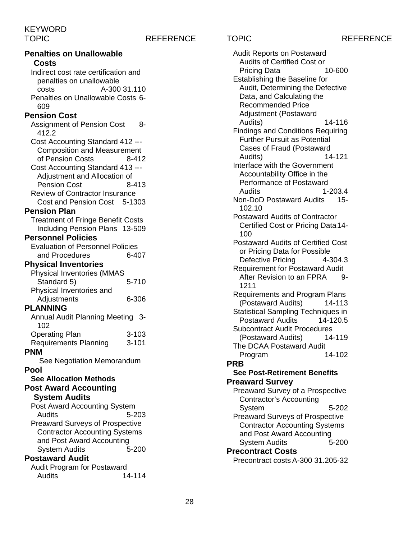TOPIC REFERENCE TOPIC REFERENCE **Penalties on Unallowable Costs** Indirect cost rate certification and penalties on unallowable costs A-300 31.110 Penalties on Unallowable Costs 6- 609 **Pension Cost** Assignment of Pension Cost 8-412.2 Cost Accounting Standard 412 --- Composition and Measurement<br>of Pension Costs 8-412 of Pension Costs Cost Accounting Standard 413 --- Adjustment and Allocation of Pension Cost 8-413 Review of Contractor Insurance Cost and Pension Cost 5-1303 **Pension Plan** Treatment of Fringe Benefit Costs Including Pension Plans 13-509 **Personnel Policies** Evaluation of Personnel Policies and Procedures 6-407 **Physical Inventories** Physical Inventories (MMAS  $Standard 5$ ) Physical Inventories and Adjustments 6-306 **PLANNING** Annual Audit Planning Meeting 3- 102 Operating Plan 3-103 Requirements Planning 3-101 **PNM** See Negotiation Memorandum **Pool See Allocation Methods Post Award Accounting System Audits** Post Award Accounting System Audits 5-203 Preaward Surveys of Prospective Contractor Accounting Systems and Post Award Accounting<br>System Audits 5-200 **System Audits Postaward Audit** Audit Program for Postaward Audits 14-114

Audit Reports on Postaward Audits of Certified Cost or Pricing Data 10-600 Establishing the Baseline for Audit, Determining the Defective Data, and Calculating the Recommended Price Adjustment (Postaward Audits) 14-116 Findings and Conditions Requiring Further Pursuit as Potential Cases of Fraud (Postaward Audits) 14-121 Interface with the Government Accountability Office in the Performance of Postaward Audits 1-203.4 Non-DoD Postaward Audits 15- 102.10 Postaward Audits of Contractor Certified Cost or Pricing Data14- 100 Postaward Audits of Certified Cost or Pricing Data for Possible<br>Defective Pricing 4-304.3 Defective Pricing Requirement for Postaward Audit After Revision to an FPRA 9-1211 Requirements and Program Plans (Postaward Audits) 14-113 Statistical Sampling Techniques in Postaward Audits 14-120.5 Subcontract Audit Procedures (Postaward Audits) 14-119 The DCAA Postaward Audit<br>Program 14-102 Program **PRB See Post-Retirement Benefits Preaward Survey** Preaward Survey of a Prospective Contractor's Accounting System 5-202 Preaward Surveys of Prospective Contractor Accounting Systems and Post Award Accounting System Audits 5-200 **Precontract Costs** Precontract costs A-300 31.205-32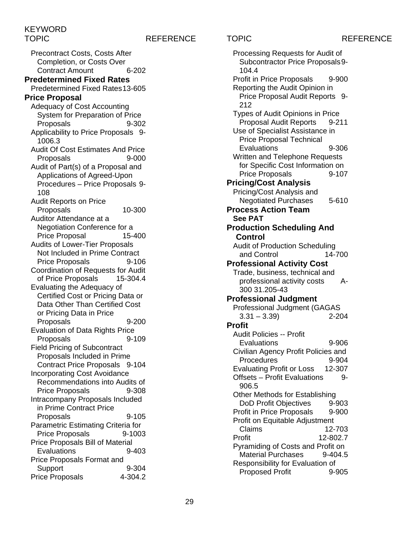### TOPIC REFERENCE TOPIC REFERENCE

Precontract Costs, Costs After Completion, or Costs Over Contract Amount 6-202 **Predetermined Fixed Rates** Predetermined Fixed Rates13-605 **Price Proposal** Adequacy of Cost Accounting System for Preparation of Price Proposals 9-302 Applicability to Price Proposals 9- 1006.3 Audit Of Cost Estimates And Price Proposals 9-000 Audit of Part(s) of a Proposal and Applications of Agreed-Upon Procedures – Price Proposals 9- 108 Audit Reports on Price Proposals 10-300 Auditor Attendance at a Negotiation Conference for a Price Proposal 15-400 Audits of Lower-Tier Proposals Not Included in Prime Contract Price Proposals 9-106 Coordination of Requests for Audit of Price Proposals 15-304.4 Evaluating the Adequacy of Certified Cost or Pricing Data or Data Other Than Certified Cost or Pricing Data in Price Proposals 9-200 Evaluation of Data Rights Price<br>Proposals 9-109 Proposals Field Pricing of Subcontract Proposals Included in Prime Contract Price Proposals 9-104 Incorporating Cost Avoidance Recommendations into Audits of Price Proposals 9-308 Intracompany Proposals Included in Prime Contract Price Proposals 9-105 Parametric Estimating Criteria for Price Proposals 9-1003 Price Proposals Bill of Material Evaluations 9-403 Price Proposals Format and Support 9-304 Price Proposals 4-304.2

Processing Requests for Audit of Subcontractor Price Proposals9- 104.4 Profit in Price Proposals 9-900 Reporting the Audit Opinion in Price Proposal Audit Reports 9- 212 Types of Audit Opinions in Price Proposal Audit Reports 9-211 Use of Specialist Assistance in Price Proposal Technical Evaluations 9-306 Written and Telephone Requests for Specific Cost Information on Price Proposals 9-107 **Pricing/Cost Analysis** Pricing/Cost Analysis and Negotiated Purchases 5-610 **Process Action Team See PAT Production Scheduling And Control** Audit of Production Scheduling<br>and Control 14-700 and Control **Professional Activity Cost** Trade, business, technical and professional activity costs A-300 31.205-43 **Professional Judgment** Professional Judgment (GAGAS  $3.31 - 3.39$  2-204 **Profit** Audit Policies -- Profit Evaluations 9-906 Civilian Agency Profit Policies and Procedures 9-904 Evaluating Profit or Loss 12-307 Offsets – Profit Evaluations 9-906.5 Other Methods for Establishing DoD Profit Objectives 9-903 Profit in Price Proposals 9-900 Profit on Equitable Adjustment Claims 12-703<br>Profit 12-802.7 Profit 12-802.7 Pyramiding of Costs and Profit on Material Purchases 9-404.5 Responsibility for Evaluation of Proposed Profit 9-905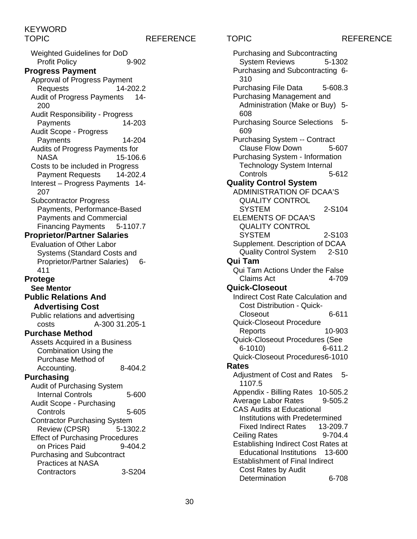## TOPIC REFERENCE TOPIC REFERENCE

Weighted Guidelines for DoD Profit Policy 9-902 **Progress Payment** Approval of Progress Payment Requests 14-202.2 Audit of Progress Payments 14- 200 Audit Responsibility - Progress Payments 14-203 Audit Scope - Progress Payments 14-204 Audits of Progress Payments for NASA 15-106.6 Costs to be included in Progress Payment Requests 14-202.4 Interest – Progress Payments 14- 207 Subcontractor Progress Payments, Performance-Based Payments and Commercial Financing Payments 5-1107.7 **Proprietor/Partner Salaries** Evaluation of Other Labor Systems (Standard Costs and Proprietor/Partner Salaries) 6-411 **Protege See Mentor Public Relations And Advertising Cost** Public relations and advertising costs A-300 31.205-1 **Purchase Method** Assets Acquired in a Business Combination Using the Purchase Method of Accounting. 8-404.2 **Purchasing** Audit of Purchasing System Internal Controls 5-600 Audit Scope - Purchasing Controls 5-605 Contractor Purchasing System Review (CPSR) 5-1302.2 Effect of Purchasing Procedures on Prices Paid 9-404.2 Purchasing and Subcontract Practices at NASA Contractors 3-S204

Purchasing and Subcontracting System Reviews 5-1302 Purchasing and Subcontracting 6- 310 Purchasing File Data 5-608.3 Purchasing Management and Administration (Make or Buy) 5- 608 Purchasing Source Selections 5- 609 Purchasing System -- Contract Clause Flow Down 5-607 Purchasing System - Information Technology System Internal Controls 5-612 **Quality Control System** ADMINISTRATION OF DCAA'S QUALITY CONTROL SYSTEM 2-S104 ELEMENTS OF DCAA'S QUALITY CONTROL SYSTEM 2-S103 Supplement. Description of DCAA Quality Control System 2-S10 **Qui Tam** Qui Tam Actions Under the False Claims Act 4-709 **Quick-Closeout** Indirect Cost Rate Calculation and Cost Distribution - Quick-Closeout 6-611 Quick-Closeout Procedure Reports 10-903 Quick-Closeout Procedures (See 6-1010) 6-611.2 Quick-Closeout Procedures6-1010 **Rates** Adjustment of Cost and Rates 5-1107.5 Appendix - Billing Rates 10-505.2 Average Labor Rates 9-505.2 CAS Audits at Educational Institutions with Predetermined Fixed Indirect Rates 13-209.7 Ceiling Rates 9-704.4 Establishing Indirect Cost Rates at Educational Institutions 13-600 Establishment of Final Indirect Cost Rates by Audit Determination 6-708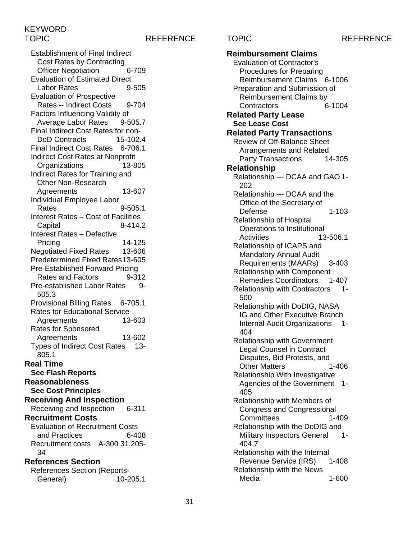### TOPIC REFERENCE TOPIC REFERENCE

Establishment of Final Indirect Cost Rates by Contracting Officer Negotiation 6-709 Evaluation of Estimated Direct Labor Rates 9-505 Evaluation of Prospective Rates -- Indirect Costs 9-704 Factors Influencing Validity of Average Labor Rates 9-505.7 Final Indirect Cost Rates for non-DoD Contracts 15-102.4 Final Indirect Cost Rates 6-706.1 Indirect Cost Rates at Nonprofit Organizations 13-805 Indirect Rates for Training and Other Non-Research Agreements 13-607 Individual Employee Labor Rates 9-505.1 Interest Rates – Cost of Facilities Capital 8-414.2 Interest Rates – Defective Pricing 14-125 Negotiated Fixed Rates 13-606 Predetermined Fixed Rates13-605 Pre-Established Forward Pricing Rates and Factors 9-312 Pre-established Labor Rates 9-505.3 Provisional Billing Rates 6-705.1 Rates for Educational Service Agreements 13-603 Rates for Sponsored Agreements 13-602 Types of Indirect Cost Rates 13- 805.1 **Real Time See Flash Reports Reasonableness See Cost Principles Receiving And Inspection** Receiving and Inspection 6-311 **Recruitment Costs** Evaluation of Recruitment Costs and Practices 6-408 Recruitment costs A-300 31.205- 34 **References Section** References Section (Reports-General) 10-205.1

**Reimbursement Claims** Evaluation of Contractor's Procedures for Preparing Reimbursement Claims 6-1006 Preparation and Submission of Reimbursement Claims by<br>Contractors 6-1004 Contractors **Related Party Lease See Lease Cost Related Party Transactions** Review of Off-Balance Sheet Arrangements and Related Party Transactions 14-305 **Relationship** Relationship --- DCAA and GAO 1- 202 Relationship --- DCAA and the Office of the Secretary of Defense 1-103 Relationship of Hospital Operations to Institutional Activities 13-506.1 Relationship of ICAPS and Mandatory Annual Audit Requirements (MAARs) 3-403 Relationship with Component Remedies Coordinators 1-407 Relationship with Contractors 1- 500 Relationship with DoDIG, NASA IG and Other Executive Branch Internal Audit Organizations 1- 404 Relationship with Government Legal Counsel in Contract Disputes, Bid Protests, and Other Matters 1-406 Relationship With Investigative Agencies of the Government 1- 405 Relationship with Members of Congress and Congressional Committees 1-409 Relationship with the DoDIG and Military Inspectors General 1-404.7 Relationship with the Internal<br>Revenue Service (IRS) 1-408 Revenue Service (IRS) Relationship with the News Media 1-600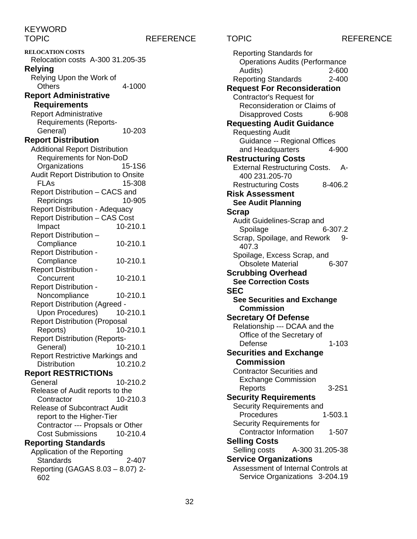TOPIC REFERENCE TOPIC REFERENCE

**RELOCATION COSTS** Relocation costs A-300 31.205-35 **Relying** Relying Upon the Work of Others 4-1000 **Report Administrative Requirements** Report Administrative Requirements (Reports-General) 10-203 **Report Distribution** Additional Report Distribution Requirements for Non-DoD Organizations 15-1S6 Audit Report Distribution to Onsite FLAs 15-308 Report Distribution – CACS and Repricings 10-905 Report Distribution - Adequacy Report Distribution – CAS Cost Impact 10-210.1 Report Distribution – Compliance 10-210.1 Report Distribution - Compliance 10-210.1 Report Distribution - Concurrent 10-210.1 Report Distribution - Noncompliance 10-210.1 Report Distribution (Agreed - Upon Procedures) 10-210.1 Report Distribution (Proposal Reports) 10-210.1 Report Distribution (Reports-General) 10-210.1 Report Restrictive Markings and Distribution 10.210.2 **Report RESTRICTIONs** 10-210.2 Release of Audit reports to the Contractor 10-210.3 Release of Subcontract Audit report to the Higher-Tier Contractor --- Propsals or Other Cost Submissions 10-210.4 **Reporting Standards** Application of the Reporting Standards 2-407 Reporting (GAGAS 8.03 – 8.07) 2- 602

| <b>Reporting Standards for</b>                                     |           |
|--------------------------------------------------------------------|-----------|
| <b>Operations Audits (Performance</b>                              |           |
| Audits)                                                            | 2-600     |
| <b>Reporting Standards</b>                                         | 2-400     |
| <b>Request For Reconsideration</b>                                 |           |
| Contractor's Request for                                           |           |
| Reconsideration or Claims of                                       |           |
| <b>Disapproved Costs</b>                                           | 6-908     |
| <b>Requesting Audit Guidance</b>                                   |           |
| <b>Requesting Audit</b>                                            |           |
| <b>Guidance -- Regional Offices</b>                                |           |
| and Headquarters                                                   | 4-900     |
| <b>Restructuring Costs</b>                                         |           |
| <b>External Restructuring Costs.</b>                               | А-        |
| 400 231.205-70                                                     |           |
| <b>Restructuring Costs</b>                                         | 8-406.2   |
| <b>Risk Assessment</b>                                             |           |
| <b>See Audit Planning</b>                                          |           |
| Scrap                                                              |           |
| Audit Guidelines-Scrap and                                         |           |
| Spoilage                                                           | 6-307.2   |
| Scrap, Spoilage, and Rework<br>407.3                               | 9-        |
| Spoilage, Excess Scrap, and                                        |           |
| <b>Obsolete Material</b>                                           | 6-307     |
| <b>Scrubbing Overhead</b>                                          |           |
|                                                                    |           |
| <b>See Correction Costs</b>                                        |           |
| <b>SEC</b>                                                         |           |
|                                                                    |           |
| <b>See Securities and Exchange</b><br><b>Commission</b>            |           |
| <b>Secretary Of Defense</b>                                        |           |
|                                                                    |           |
| Relationship --- DCAA and the                                      |           |
| Office of the Secretary of<br>Defense                              | 1-103     |
|                                                                    |           |
| <b>Securities and Exchange</b><br><b>Commission</b>                |           |
| <b>Contractor Securities and</b>                                   |           |
|                                                                    |           |
| <b>Exchange Commission</b>                                         | $3 - 2S1$ |
| Reports                                                            |           |
| <b>Security Requirements</b>                                       |           |
| Security Requirements and<br>Procedures                            | 1-503.1   |
| <b>Security Requirements for</b>                                   |           |
| <b>Contractor Information</b>                                      | 1-507     |
|                                                                    |           |
| <b>Selling Costs</b><br>A-300 31.205-38                            |           |
| Selling costs                                                      |           |
| <b>Service Organizations</b><br>Assessment of Internal Controls at |           |
| Service Organizations 3-204.19                                     |           |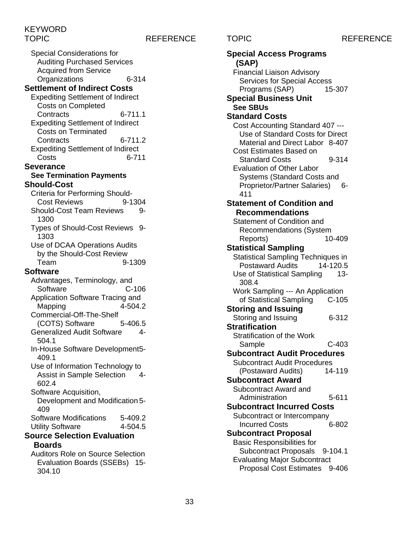304.10

### TOPIC REFERENCE TOPIC REFERENCE

Special Considerations for Auditing Purchased Services Acquired from Service Organizations 6-314 **Settlement of Indirect Costs** Expediting Settlement of Indirect Costs on Completed Contracts 6-711.1 Expediting Settlement of Indirect Costs on Terminated Contracts 6-711.2 Expediting Settlement of Indirect Costs 6-711 **Severance See Termination Payments Should-Cost** Criteria for Performing Should-Cost Reviews 9-1304 Should-Cost Team Reviews 9-1300 Types of Should-Cost Reviews 9- 1303 Use of DCAA Operations Audits by the Should-Cost Review<br>Team 9 9-1309 **Software** Advantages, Terminology, and Software C-106 Application Software Tracing and Mapping 4-504.2 Commercial-Off-The-Shelf (COTS) Software 5-406.5 Generalized Audit Software 4- 504.1 In-House Software Development5- 409.1 Use of Information Technology to Assist in Sample Selection 4-602.4 Software Acquisition, Development and Modification 5- 409 Software Modifications 5-409.2 Utility Software 4-504.5 **Source Selection Evaluation Boards** Auditors Role on Source Selection Evaluation Boards (SSEBs) 15-

**Special Access Programs (SAP)** Financial Liaison Advisory Services for Special Access Programs (SAP) 15-307 **Special Business Unit See SBUs Standard Costs** Cost Accounting Standard 407 --- Use of Standard Costs for Direct Material and Direct Labor 8-407 Cost Estimates Based on Standard Costs 9-314 Evaluation of Other Labor Systems (Standard Costs and Proprietor/Partner Salaries) 6-411 **Statement of Condition and Recommendations** Statement of Condition and Recommendations (System Reports) 10-409 **Statistical Sampling** Statistical Sampling Techniques in Postaward Audits 14-120.5 Use of Statistical Sampling 13-308.4 Work Sampling --- An Application of Statistical Sampling C-105 **Storing and Issuing** Storing and Issuing 6-312 **Stratification** Stratification of the Work Sample C-403 **Subcontract Audit Procedures** Subcontract Audit Procedures (Postaward Audits) 14-119 **Subcontract Award** Subcontract Award and Administration 5-611 **Subcontract Incurred Costs** Subcontract or Intercompany<br>Incurred Costs 6-802 **Incurred Costs Subcontract Proposal** Basic Responsibilities for Subcontract Proposals 9-104.1 Evaluating Major Subcontract Proposal Cost Estimates 9-406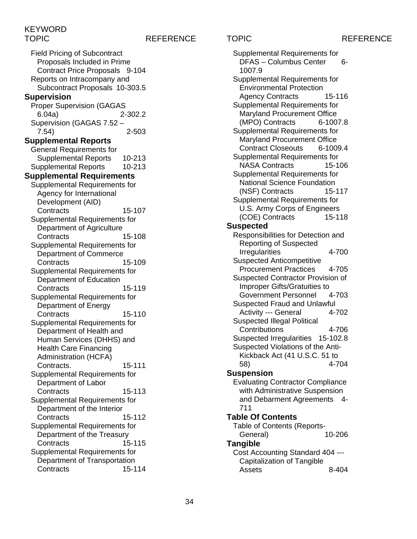### TOPIC REFERENCE TOPIC REFERENCE

Field Pricing of Subcontract Proposals Included in Prime Contract Price Proposals 9-104 Reports on Intracompany and Subcontract Proposals 10-303.5 **Supervision** Proper Supervision (GAGAS 6.04a) 2-302.2 Supervision (GAGAS 7.52 – 7.54) 2-503 **Supplemental Reports** General Requirements for Supplemental Reports 10-213 Supplemental Reports 10-213 **Supplemental Requirements** Supplemental Requirements for Agency for International Development (AID) Contracts 15-107 Supplemental Requirements for Department of Agriculture Contracts 15-108 Supplemental Requirements for Department of Commerce Contracts 15-109 Supplemental Requirements for Department of Education Contracts 15-119 Supplemental Requirements for Department of Energy Contracts 15-110 Supplemental Requirements for Department of Health and Human Services (DHHS) and Health Care Financing Administration (HCFA) Contracts. 15-111 Supplemental Requirements for Department of Labor Contracts 15-113 Supplemental Requirements for Department of the Interior Contracts 15-112 Supplemental Requirements for Department of the Treasury Contracts 15-115 Supplemental Requirements for Department of Transportation Contracts 15-114

Supplemental Requirements for DFAS – Columbus Center 6-1007.9 Supplemental Requirements for Environmental Protection Agency Contracts 15-116 Supplemental Requirements for Maryland Procurement Office (MPO) Contracts 6-1007.8 Supplemental Requirements for Maryland Procurement Office Contract Closeouts 6-1009.4 Supplemental Requirements for NASA Contracts 15-106 Supplemental Requirements for National Science Foundation (NSF) Contracts 15-117 Supplemental Requirements for U.S. Army Corps of Engineers (COE) Contracts 15-118 **Suspected** Responsibilities for Detection and Reporting of Suspected Irregularities 4-700 Suspected Anticompetitive Procurement Practices 4-705 Suspected Contractor Provision of Improper Gifts/Gratuities to Government Personnel 4-703 Suspected Fraud and Unlawful Activity --- General 4-702 Suspected Illegal Political Contributions 4-706 Suspected Irregularities 15-102.8 Suspected Violations of the Anti-Kickback Act (41 U.S.C. 51 to<br>58) 4-7 4-704 **Suspension** Evaluating Contractor Compliance with Administrative Suspension and Debarment Agreements 4- 711 **Table Of Contents** Table of Contents (Reports-General) 10-206 **Tangible** Cost Accounting Standard 404 --- Capitalization of Tangible Assets 8-404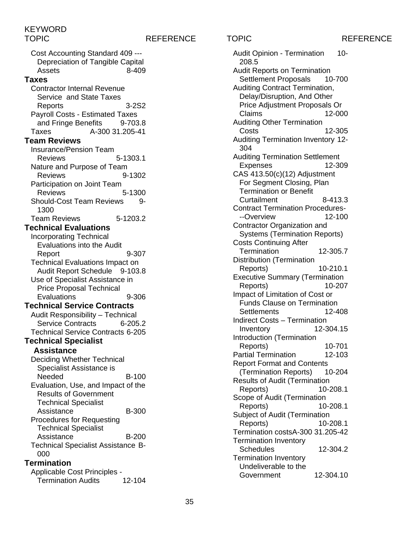TOPIC REFERENCE TOPIC REFERENCE

Cost Accounting Standard 409 --- Depreciation of Tangible Capital Assets 8-409 **Taxes** Contractor Internal Revenue Service and State Taxes Reports 3-2S2 Payroll Costs - Estimated Taxes and Fringe Benefits 9-703.8 Taxes A-300 31.205-41 **Team Reviews** Insurance/Pension Team Reviews 5-1303.1 Nature and Purpose of Team Reviews 9-1302 Participation on Joint Team Reviews 5-1300 Should-Cost Team Reviews 9-1300 Team Reviews 5-1203.2 **Technical Evaluations** Incorporating Technical Evaluations into the Audit Report 9-307 Technical Evaluations Impact on Audit Report Schedule 9-103.8 Use of Specialist Assistance in Price Proposal Technical Evaluations 9-306 **Technical Service Contracts** Audit Responsibility – Technical Service Contracts 6-205.2 Technical Service Contracts 6-205 **Technical Specialist Assistance** Deciding Whether Technical Specialist Assistance is Needed B-100 Evaluation, Use, and Impact of the Results of Government Technical Specialist Assistance B-300 Procedures for Requesting Technical Specialist Assistance B-200 Technical Specialist Assistance B-000 **Termination** Applicable Cost Principles - Termination Audits 12-104

Audit Opinion - Termination 10-208.5 Audit Reports on Termination Settlement Proposals 10-700 Auditing Contract Termination, Delay/Disruption, And Other Price Adjustment Proposals Or Claims 12-000 Auditing Other Termination 12-305 Auditing Termination Inventory 12- 304 Auditing Termination Settlement Expenses 12-309 CAS 413.50(c)(12) Adjustment For Segment Closing, Plan Termination or Benefit Curtailment 8-413.3 Contract Termination Procedures- --Overview 12-100 Contractor Organization and Systems (Termination Reports) Costs Continuing After Termination 12-305.7 Distribution (Termination Reports) 10-210.1 Executive Summary (Termination Reports) 10-207 Impact of Limitation of Cost or Funds Clause on Termination Settlements 12-408 Indirect Costs – Termination Inventory 12-304.15 Introduction (Termination Reports) 10-701 Partial Termination 12-103 Report Format and Contents (Termination Reports) 10-204 Results of Audit (Termination<br>Reports) 10-208.1 Reports) Scope of Audit (Termination Reports) 10-208.1 Subject of Audit (Termination Reports) 10-208.1 Termination costsA-300 31.205-42 Termination Inventory Schedules 12-304.2 Termination Inventory Undeliverable to the Government 12-304.10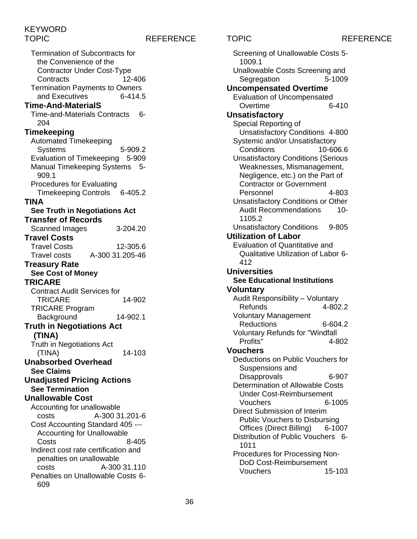### TOPIC REFERENCE TOPIC REFERENCE

Termination of Subcontracts for the Convenience of the Contractor Under Cost-Type Contracts 12-406 Termination Payments to Owners and Executives 6-414.5 **Time-And-MaterialS** Time-and-Materials Contracts 6- 204 **Timekeeping** Automated Timekeeping Systems 5-909.2 Evaluation of Timekeeping 5-909 Manual Timekeeping Systems 5- 909.1 Procedures for Evaluating Timekeeping Controls 6-405.2 **TINA See Truth in Negotiations Act Transfer of Records** Scanned Images 3-204.20 **Travel Costs** Travel Costs 12-305.6 Travel costs A-300 31.205-46 **Treasury Rate See Cost of Money TRICARE** Contract Audit Services for TRICARE 14-902 TRICARE Program Background 14-902.1 **Truth in Negotiations Act (TINA)** Truth in Negotiations Act (TINA) 14-103 **Unabsorbed Overhead See Claims Unadjusted Pricing Actions See Termination Unallowable Cost** Accounting for unallowable costs A-300 31.201-6 Cost Accounting Standard 405 --- Accounting for Unallowable Costs 8-405 Indirect cost rate certification and penalties on unallowable costs A-300 31.110 Penalties on Unallowable Costs 6- 609

Evaluation of Uncompensated<br>Overtime 6-410 Overtime **Unsatisfactory** Special Reporting of Unsatisfactory Conditions 4-800 Systemic and/or Unsatisfactory Conditions 10-606.6 Unsatisfactory Conditions (Serious Weaknesses, Mismanagement, Negligence, etc.) on the Part of Contractor or Government Personnel 4-803 Unsatisfactory Conditions or Other Audit Recommendations 10- 1105.2 Unsatisfactory Conditions 9-805 **Utilization of Labor** Evaluation of Quantitative and Qualitative Utilization of Labor 6- 412 **Universities See Educational Institutions Voluntary** Audit Responsibility – Voluntary **Refunds** Voluntary Management Reductions 6-604.2 Voluntary Refunds for "Windfall Profits" 4-802 **Vouchers** Deductions on Public Vouchers for Suspensions and Disapprovals 6-907 Determination of Allowable Costs Under Cost-Reimbursement Vouchers 6-1005 Direct Submission of Interim Public Vouchers to Disbursing Offices (Direct Billing) 6-1007 Distribution of Public Vouchers 6- 1011 Procedures for Processing Non-DoD Cost-Reimbursement<br>Vouchers 15-103 Vouchers

Screening of Unallowable Costs 5-

Unallowable Costs Screening and Segregation 5-1009

**Uncompensated Overtime**

1009.1